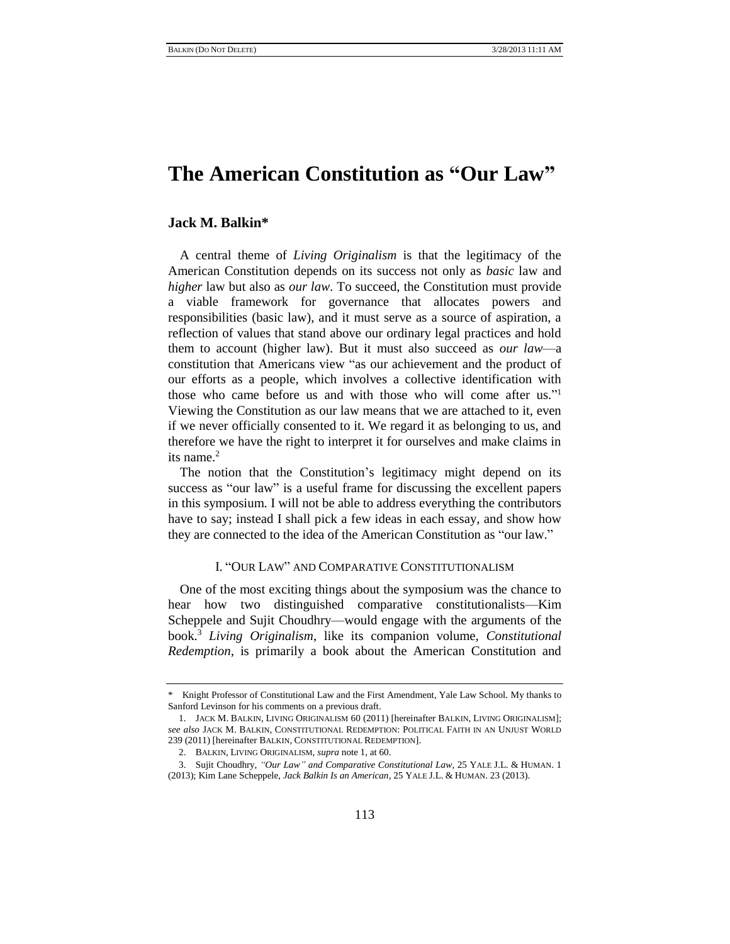# **The American Constitution as "Our Law"**

# **Jack M. Balkin\***

A central theme of *Living Originalism* is that the legitimacy of the American Constitution depends on its success not only as *basic* law and *higher* law but also as *our law*. To succeed, the Constitution must provide a viable framework for governance that allocates powers and responsibilities (basic law), and it must serve as a source of aspiration, a reflection of values that stand above our ordinary legal practices and hold them to account (higher law). But it must also succeed as *our law*—a constitution that Americans view "as our achievement and the product of our efforts as a people, which involves a collective identification with those who came before us and with those who will come after us."<sup>1</sup> Viewing the Constitution as our law means that we are attached to it, even if we never officially consented to it. We regard it as belonging to us, and therefore we have the right to interpret it for ourselves and make claims in its name. $2$ 

The notion that the Constitution's legitimacy might depend on its success as "our law" is a useful frame for discussing the excellent papers in this symposium. I will not be able to address everything the contributors have to say; instead I shall pick a few ideas in each essay, and show how they are connected to the idea of the American Constitution as "our law."

## <span id="page-0-0"></span>I. "OUR LAW" AND COMPARATIVE CONSTITUTIONALISM

<span id="page-0-1"></span>One of the most exciting things about the symposium was the chance to hear how two distinguished comparative constitutionalists—Kim Scheppele and Sujit Choudhry—would engage with the arguments of the book.<sup>3</sup> *Living Originalism*, like its companion volume, *Constitutional Redemption*, is primarily a book about the American Constitution and

<sup>\*</sup> Knight Professor of Constitutional Law and the First Amendment, Yale Law School. My thanks to Sanford Levinson for his comments on a previous draft.

<sup>1.</sup> JACK M. BALKIN, LIVING ORIGINALISM 60 (2011) [hereinafter BALKIN, LIVING ORIGINALISM]; *see also* JACK M. BALKIN, CONSTITUTIONAL REDEMPTION: POLITICAL FAITH IN AN UNJUST WORLD 239 (2011) [hereinafter BALKIN, CONSTITUTIONAL REDEMPTION].

<sup>2.</sup> BALKIN, LIVING ORIGINALISM, *supra* not[e 1,](#page-0-0) at 60.

<sup>3.</sup> Sujit Choudhry, *"Our Law" and Comparative Constitutional Law*, 25 YALE J.L. & HUMAN. 1 (2013); Kim Lane Scheppele, *Jack Balkin Is an American*, 25 YALE J.L. & HUMAN. 23 (2013).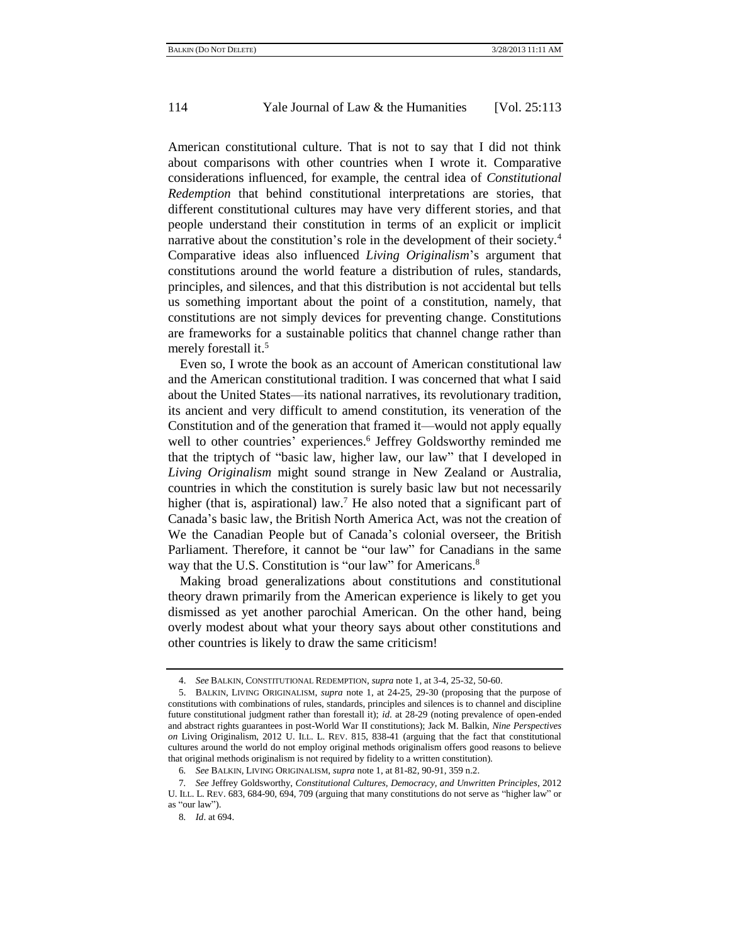American constitutional culture. That is not to say that I did not think about comparisons with other countries when I wrote it. Comparative considerations influenced, for example, the central idea of *Constitutional Redemption* that behind constitutional interpretations are stories, that different constitutional cultures may have very different stories, and that people understand their constitution in terms of an explicit or implicit narrative about the constitution's role in the development of their society.<sup>4</sup> Comparative ideas also influenced *Living Originalism*'s argument that constitutions around the world feature a distribution of rules, standards, principles, and silences, and that this distribution is not accidental but tells us something important about the point of a constitution, namely, that constitutions are not simply devices for preventing change. Constitutions are frameworks for a sustainable politics that channel change rather than merely forestall it.<sup>5</sup>

Even so, I wrote the book as an account of American constitutional law and the American constitutional tradition. I was concerned that what I said about the United States—its national narratives, its revolutionary tradition, its ancient and very difficult to amend constitution, its veneration of the Constitution and of the generation that framed it—would not apply equally well to other countries' experiences.<sup>6</sup> Jeffrey Goldsworthy reminded me that the triptych of "basic law, higher law, our law" that I developed in *Living Originalism* might sound strange in New Zealand or Australia, countries in which the constitution is surely basic law but not necessarily higher (that is, aspirational) law.<sup>7</sup> He also noted that a significant part of Canada's basic law, the British North America Act, was not the creation of We the Canadian People but of Canada's colonial overseer, the British Parliament. Therefore, it cannot be "our law" for Canadians in the same way that the U.S. Constitution is "our law" for Americans. $8$ 

Making broad generalizations about constitutions and constitutional theory drawn primarily from the American experience is likely to get you dismissed as yet another parochial American. On the other hand, being overly modest about what your theory says about other constitutions and other countries is likely to draw the same criticism!

8*. Id*. at 694.

<sup>4.</sup> *See* BALKIN, CONSTITUTIONAL REDEMPTION, *supra* not[e 1,](#page-0-0) at 3-4, 25-32, 50-60.

<sup>5.</sup> BALKIN, LIVING ORIGINALISM, *supra* note [1,](#page-0-0) at 24-25, 29-30 (proposing that the purpose of constitutions with combinations of rules, standards, principles and silences is to channel and discipline future constitutional judgment rather than forestall it); *id*. at 28-29 (noting prevalence of open-ended and abstract rights guarantees in post-World War II constitutions); Jack M. Balkin, *Nine Perspectives on* Living Originalism, 2012 U. ILL. L. REV. 815, 838-41 (arguing that the fact that constitutional cultures around the world do not employ original methods originalism offers good reasons to believe that original methods originalism is not required by fidelity to a written constitution).

<sup>6</sup>*. See* BALKIN, LIVING ORIGINALISM, *supra* not[e 1,](#page-0-0) at 81-82, 90-91, 359 n.2.

<sup>7</sup>*. See* Jeffrey Goldsworthy, *Constitutional Cultures, Democracy, and Unwritten Principles*, 2012 U. ILL. L. REV. 683, 684-90, 694, 709 (arguing that many constitutions do not serve as "higher law" or as "our law").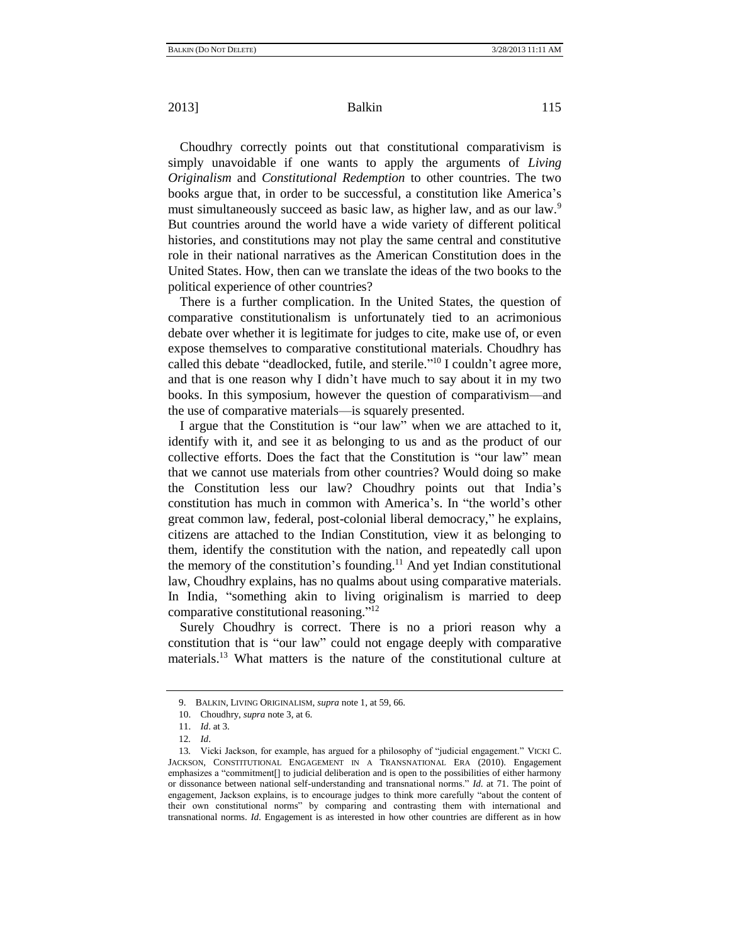Choudhry correctly points out that constitutional comparativism is simply unavoidable if one wants to apply the arguments of *Living Originalism* and *Constitutional Redemption* to other countries. The two books argue that, in order to be successful, a constitution like America's must simultaneously succeed as basic law, as higher law, and as our law.<sup>9</sup> But countries around the world have a wide variety of different political histories, and constitutions may not play the same central and constitutive role in their national narratives as the American Constitution does in the United States. How, then can we translate the ideas of the two books to the political experience of other countries?

There is a further complication. In the United States, the question of comparative constitutionalism is unfortunately tied to an acrimonious debate over whether it is legitimate for judges to cite, make use of, or even expose themselves to comparative constitutional materials. Choudhry has called this debate "deadlocked, futile, and sterile."<sup>10</sup> I couldn't agree more, and that is one reason why I didn't have much to say about it in my two books. In this symposium, however the question of comparativism—and the use of comparative materials—is squarely presented.

I argue that the Constitution is "our law" when we are attached to it, identify with it, and see it as belonging to us and as the product of our collective efforts. Does the fact that the Constitution is "our law" mean that we cannot use materials from other countries? Would doing so make the Constitution less our law? Choudhry points out that India's constitution has much in common with America's. In "the world's other great common law, federal, post-colonial liberal democracy," he explains, citizens are attached to the Indian Constitution, view it as belonging to them, identify the constitution with the nation, and repeatedly call upon the memory of the constitution's founding.<sup>11</sup> And yet Indian constitutional law, Choudhry explains, has no qualms about using comparative materials. In India, "something akin to living originalism is married to deep comparative constitutional reasoning."<sup>12</sup>

Surely Choudhry is correct. There is no a priori reason why a constitution that is "our law" could not engage deeply with comparative materials.<sup>13</sup> What matters is the nature of the constitutional culture at

<sup>9.</sup> BALKIN, LIVING ORIGINALISM, *supra* not[e 1,](#page-0-0) at 59, 66.

<sup>10.</sup> Choudhry, *supra* not[e 3,](#page-0-1) at 6.

<sup>11.</sup> *Id*. at 3.

<sup>12</sup>*. Id*.

<sup>13.</sup> Vicki Jackson, for example, has argued for a philosophy of "judicial engagement." VICKI C. JACKSON, CONSTITUTIONAL ENGAGEMENT IN A TRANSNATIONAL ERA (2010). Engagement emphasizes a "commitment<sup>[]</sup> to judicial deliberation and is open to the possibilities of either harmony or dissonance between national self-understanding and transnational norms." *Id.* at 71. The point of engagement, Jackson explains, is to encourage judges to think more carefully "about the content of their own constitutional norms" by comparing and contrasting them with international and transnational norms. *Id*. Engagement is as interested in how other countries are different as in how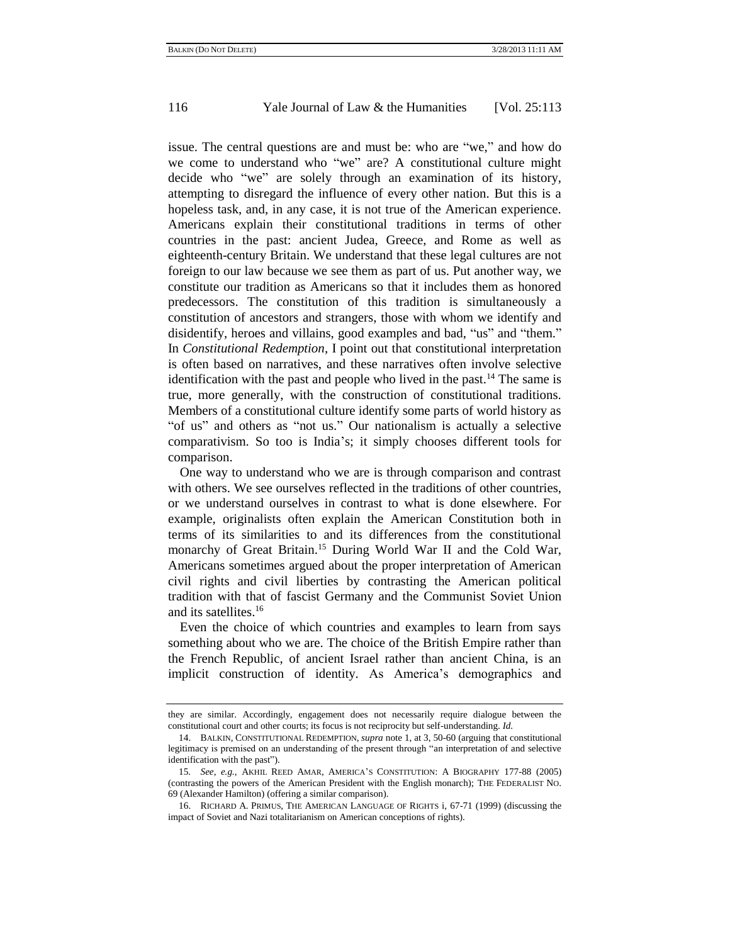issue. The central questions are and must be: who are "we," and how do we come to understand who "we" are? A constitutional culture might decide who "we" are solely through an examination of its history, attempting to disregard the influence of every other nation. But this is a hopeless task, and, in any case, it is not true of the American experience. Americans explain their constitutional traditions in terms of other countries in the past: ancient Judea, Greece, and Rome as well as eighteenth-century Britain. We understand that these legal cultures are not foreign to our law because we see them as part of us. Put another way, we constitute our tradition as Americans so that it includes them as honored predecessors. The constitution of this tradition is simultaneously a constitution of ancestors and strangers, those with whom we identify and disidentify, heroes and villains, good examples and bad, "us" and "them." In *Constitutional Redemption*, I point out that constitutional interpretation is often based on narratives, and these narratives often involve selective identification with the past and people who lived in the past.<sup>14</sup> The same is true, more generally, with the construction of constitutional traditions. Members of a constitutional culture identify some parts of world history as "of us" and others as "not us." Our nationalism is actually a selective comparativism. So too is India's; it simply chooses different tools for comparison.

<span id="page-3-0"></span>One way to understand who we are is through comparison and contrast with others. We see ourselves reflected in the traditions of other countries, or we understand ourselves in contrast to what is done elsewhere. For example, originalists often explain the American Constitution both in terms of its similarities to and its differences from the constitutional monarchy of Great Britain.<sup>15</sup> During World War II and the Cold War, Americans sometimes argued about the proper interpretation of American civil rights and civil liberties by contrasting the American political tradition with that of fascist Germany and the Communist Soviet Union and its satellites.<sup>16</sup>

Even the choice of which countries and examples to learn from says something about who we are. The choice of the British Empire rather than the French Republic, of ancient Israel rather than ancient China, is an implicit construction of identity. As America's demographics and

they are similar. Accordingly, engagement does not necessarily require dialogue between the constitutional court and other courts; its focus is not reciprocity but self-understanding. *Id*.

<sup>14.</sup> BALKIN, CONSTITUTIONAL REDEMPTION, *supra* not[e 1,](#page-0-0) at 3, 50-60 (arguing that constitutional legitimacy is premised on an understanding of the present through "an interpretation of and selective identification with the past").

<sup>15</sup>*. See, e.g.*, AKHIL REED AMAR, AMERICA'S CONSTITUTION: A BIOGRAPHY 177-88 (2005) (contrasting the powers of the American President with the English monarch); THE FEDERALIST NO. 69 (Alexander Hamilton) (offering a similar comparison).

<sup>16.</sup> RICHARD A. PRIMUS, THE AMERICAN LANGUAGE OF RIGHTS i, 67-71 (1999) (discussing the impact of Soviet and Nazi totalitarianism on American conceptions of rights).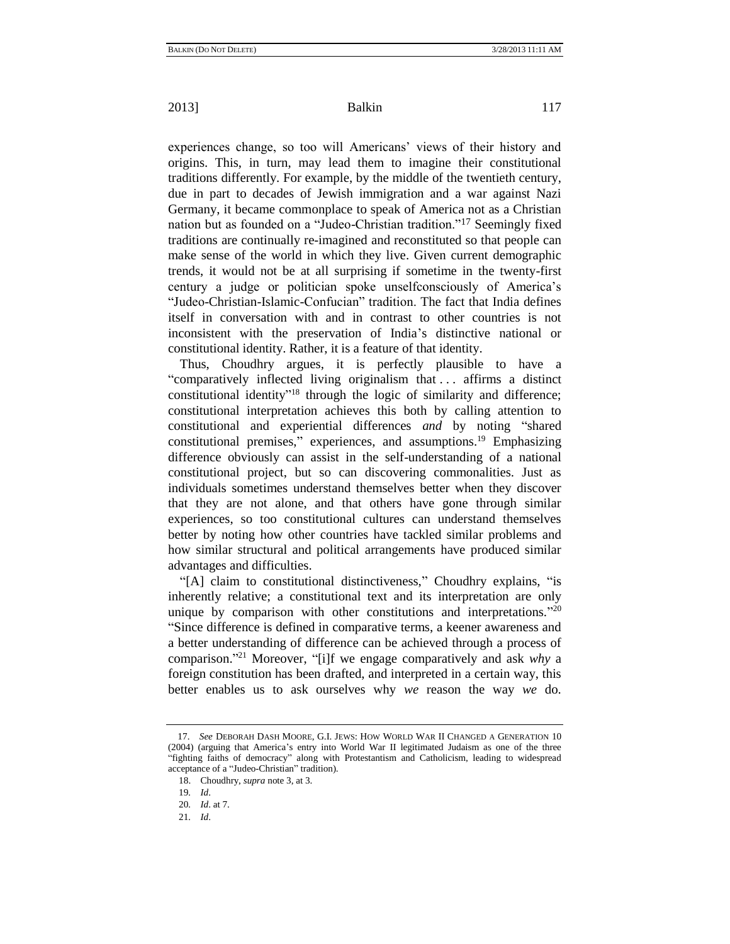experiences change, so too will Americans' views of their history and origins. This, in turn, may lead them to imagine their constitutional traditions differently. For example, by the middle of the twentieth century, due in part to decades of Jewish immigration and a war against Nazi Germany, it became commonplace to speak of America not as a Christian nation but as founded on a "Judeo-Christian tradition."<sup>17</sup> Seemingly fixed traditions are continually re-imagined and reconstituted so that people can make sense of the world in which they live. Given current demographic trends, it would not be at all surprising if sometime in the twenty-first century a judge or politician spoke unselfconsciously of America's "Judeo-Christian-Islamic-Confucian" tradition. The fact that India defines itself in conversation with and in contrast to other countries is not inconsistent with the preservation of India's distinctive national or constitutional identity. Rather, it is a feature of that identity.

Thus, Choudhry argues, it is perfectly plausible to have a ―comparatively inflected living originalism that . . . affirms a distinct constitutional identity<sup>"18</sup> through the logic of similarity and difference; constitutional interpretation achieves this both by calling attention to constitutional and experiential differences *and* by noting "shared constitutional premises," experiences, and assumptions.<sup>19</sup> Emphasizing difference obviously can assist in the self-understanding of a national constitutional project, but so can discovering commonalities. Just as individuals sometimes understand themselves better when they discover that they are not alone, and that others have gone through similar experiences, so too constitutional cultures can understand themselves better by noting how other countries have tackled similar problems and how similar structural and political arrangements have produced similar advantages and difficulties.

"[A] claim to constitutional distinctiveness," Choudhry explains, "is inherently relative; a constitutional text and its interpretation are only unique by comparison with other constitutions and interpretations. $"^{20}$ ―Since difference is defined in comparative terms, a keener awareness and a better understanding of difference can be achieved through a process of comparison."<sup>21</sup> Moreover, "[i]f we engage comparatively and ask *why* a foreign constitution has been drafted, and interpreted in a certain way, this better enables us to ask ourselves why *we* reason the way *we* do.

<sup>17.</sup> *See* DEBORAH DASH MOORE, G.I. JEWS: HOW WORLD WAR II CHANGED A GENERATION 10 (2004) (arguing that America's entry into World War II legitimated Judaism as one of the three ―fighting faiths of democracy‖ along with Protestantism and Catholicism, leading to widespread acceptance of a "Judeo-Christian" tradition).

<sup>18.</sup> Choudhry, *supra* not[e 3,](#page-0-1) at 3.

<sup>19</sup>*. Id*.

<sup>20</sup>*. Id*. at 7.

<sup>21</sup>*. Id*.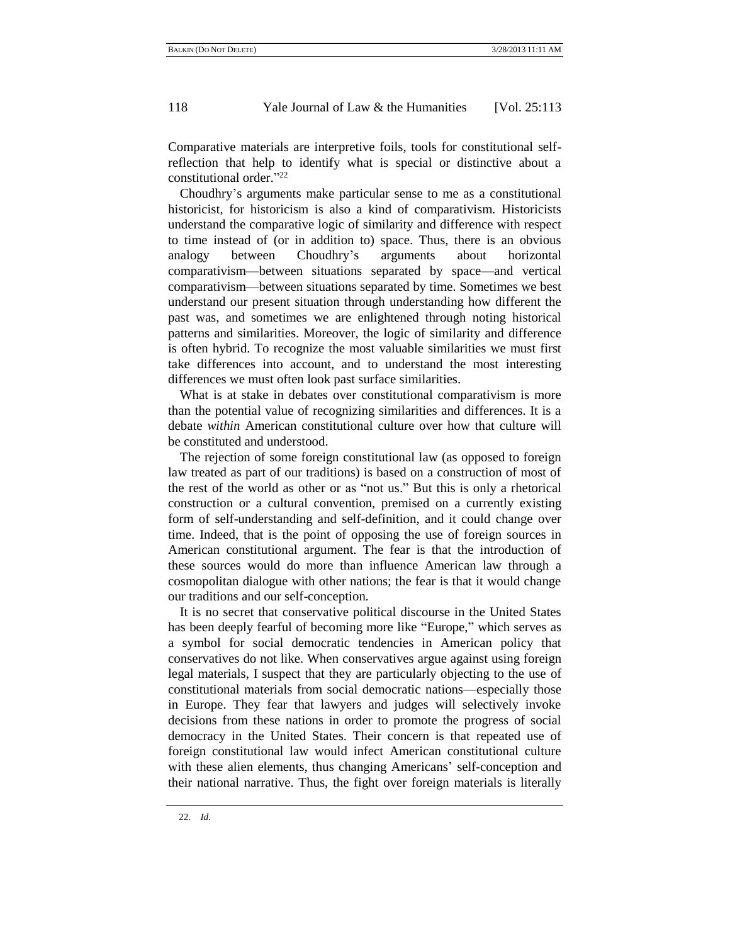Comparative materials are interpretive foils, tools for constitutional selfreflection that help to identify what is special or distinctive about a constitutional order."<sup>22</sup>

Choudhry's arguments make particular sense to me as a constitutional historicist, for historicism is also a kind of comparativism. Historicists understand the comparative logic of similarity and difference with respect to time instead of (or in addition to) space. Thus, there is an obvious analogy between Choudhry's arguments about horizontal comparativism—between situations separated by space—and vertical comparativism—between situations separated by time. Sometimes we best understand our present situation through understanding how different the past was, and sometimes we are enlightened through noting historical patterns and similarities. Moreover, the logic of similarity and difference is often hybrid. To recognize the most valuable similarities we must first take differences into account, and to understand the most interesting differences we must often look past surface similarities.

What is at stake in debates over constitutional comparativism is more than the potential value of recognizing similarities and differences. It is a debate *within* American constitutional culture over how that culture will be constituted and understood.

The rejection of some foreign constitutional law (as opposed to foreign law treated as part of our traditions) is based on a construction of most of the rest of the world as other or as "not us." But this is only a rhetorical construction or a cultural convention, premised on a currently existing form of self-understanding and self-definition, and it could change over time. Indeed, that is the point of opposing the use of foreign sources in American constitutional argument. The fear is that the introduction of these sources would do more than influence American law through a cosmopolitan dialogue with other nations; the fear is that it would change our traditions and our self-conception.

It is no secret that conservative political discourse in the United States has been deeply fearful of becoming more like "Europe," which serves as a symbol for social democratic tendencies in American policy that conservatives do not like. When conservatives argue against using foreign legal materials, I suspect that they are particularly objecting to the use of constitutional materials from social democratic nations—especially those in Europe. They fear that lawyers and judges will selectively invoke decisions from these nations in order to promote the progress of social democracy in the United States. Their concern is that repeated use of foreign constitutional law would infect American constitutional culture with these alien elements, thus changing Americans' self-conception and their national narrative. Thus, the fight over foreign materials is literally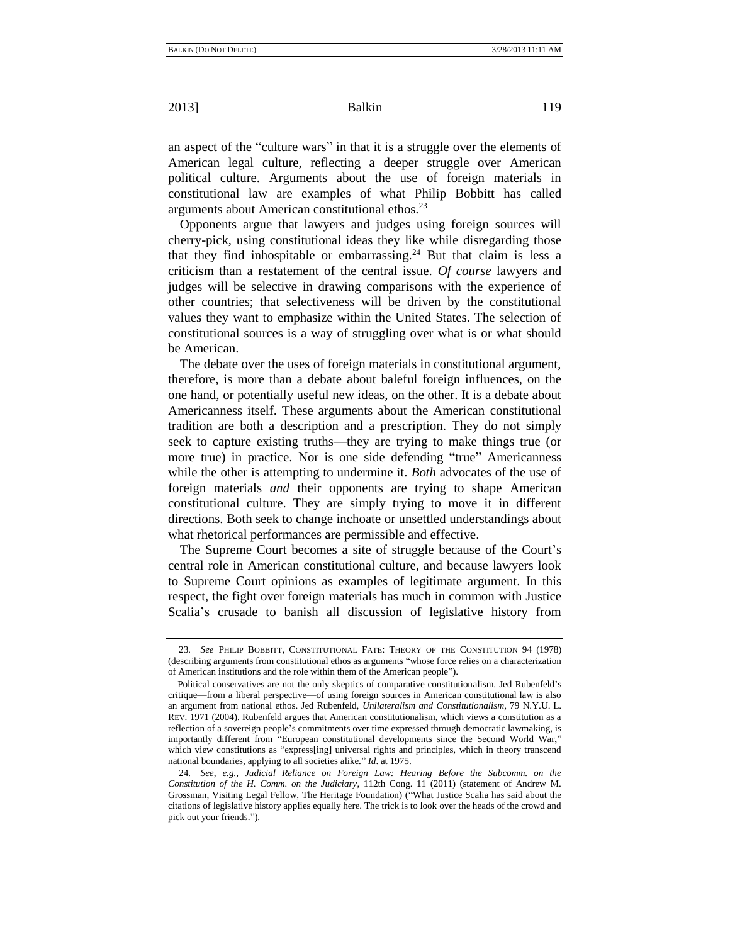an aspect of the "culture wars" in that it is a struggle over the elements of American legal culture, reflecting a deeper struggle over American political culture. Arguments about the use of foreign materials in constitutional law are examples of what Philip Bobbitt has called arguments about American constitutional ethos.<sup>23</sup>

<span id="page-6-0"></span>Opponents argue that lawyers and judges using foreign sources will cherry-pick, using constitutional ideas they like while disregarding those that they find inhospitable or embarrassing.<sup>24</sup> But that claim is less a criticism than a restatement of the central issue. *Of course* lawyers and judges will be selective in drawing comparisons with the experience of other countries; that selectiveness will be driven by the constitutional values they want to emphasize within the United States. The selection of constitutional sources is a way of struggling over what is or what should be American.

The debate over the uses of foreign materials in constitutional argument, therefore, is more than a debate about baleful foreign influences, on the one hand, or potentially useful new ideas, on the other. It is a debate about Americanness itself. These arguments about the American constitutional tradition are both a description and a prescription. They do not simply seek to capture existing truths—they are trying to make things true (or more true) in practice. Nor is one side defending "true" Americanness while the other is attempting to undermine it. *Both* advocates of the use of foreign materials *and* their opponents are trying to shape American constitutional culture. They are simply trying to move it in different directions. Both seek to change inchoate or unsettled understandings about what rhetorical performances are permissible and effective.

The Supreme Court becomes a site of struggle because of the Court's central role in American constitutional culture, and because lawyers look to Supreme Court opinions as examples of legitimate argument. In this respect, the fight over foreign materials has much in common with Justice Scalia's crusade to banish all discussion of legislative history from

<sup>23</sup>*. See* PHILIP BOBBITT, CONSTITUTIONAL FATE: THEORY OF THE CONSTITUTION 94 (1978) (describing arguments from constitutional ethos as arguments "whose force relies on a characterization of American institutions and the role within them of the American people").

Political conservatives are not the only skeptics of comparative constitutionalism. Jed Rubenfeld's critique—from a liberal perspective—of using foreign sources in American constitutional law is also an argument from national ethos. Jed Rubenfeld, *Unilateralism and Constitutionalism*, 79 N.Y.U. L. REV. 1971 (2004). Rubenfeld argues that American constitutionalism, which views a constitution as a reflection of a sovereign people's commitments over time expressed through democratic lawmaking, is importantly different from "European constitutional developments since the Second World War," which view constitutions as "express[ing] universal rights and principles, which in theory transcend national boundaries, applying to all societies alike." Id. at 1975.

<sup>24</sup>*. See, e.g.*, *Judicial Reliance on Foreign Law: Hearing Before the Subcomm. on the Constitution of the H. Comm. on the Judiciary*, 112th Cong. 11 (2011) (statement of Andrew M. Grossman, Visiting Legal Fellow, The Heritage Foundation) ("What Justice Scalia has said about the citations of legislative history applies equally here. The trick is to look over the heads of the crowd and pick out your friends.").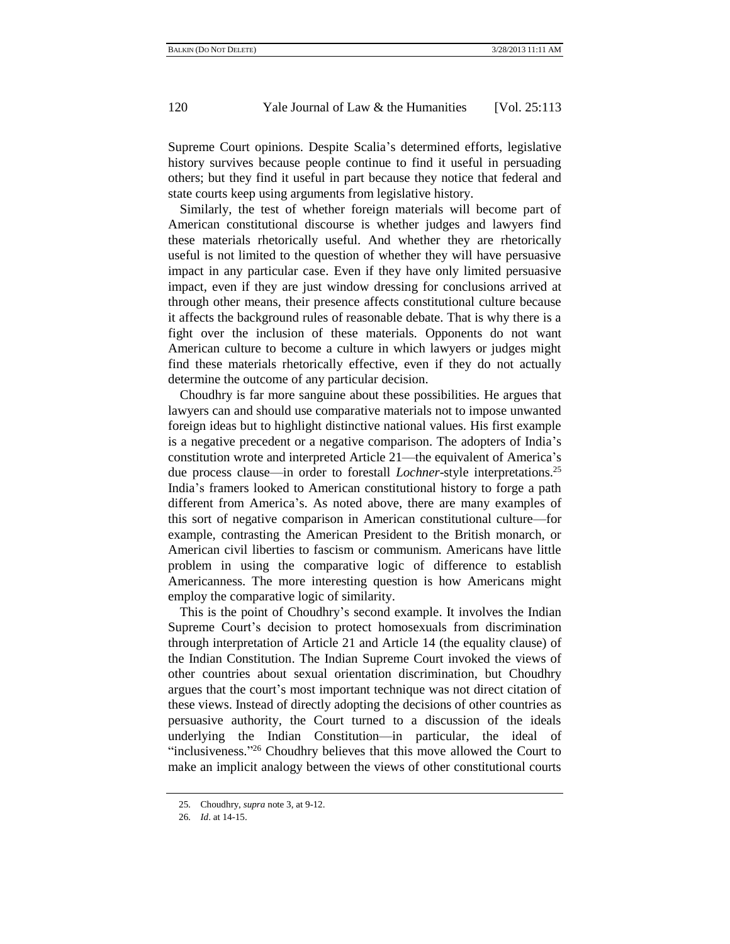Supreme Court opinions. Despite Scalia's determined efforts, legislative history survives because people continue to find it useful in persuading others; but they find it useful in part because they notice that federal and state courts keep using arguments from legislative history.

Similarly, the test of whether foreign materials will become part of American constitutional discourse is whether judges and lawyers find these materials rhetorically useful. And whether they are rhetorically useful is not limited to the question of whether they will have persuasive impact in any particular case. Even if they have only limited persuasive impact, even if they are just window dressing for conclusions arrived at through other means, their presence affects constitutional culture because it affects the background rules of reasonable debate. That is why there is a fight over the inclusion of these materials. Opponents do not want American culture to become a culture in which lawyers or judges might find these materials rhetorically effective, even if they do not actually determine the outcome of any particular decision.

Choudhry is far more sanguine about these possibilities. He argues that lawyers can and should use comparative materials not to impose unwanted foreign ideas but to highlight distinctive national values. His first example is a negative precedent or a negative comparison. The adopters of India's constitution wrote and interpreted Article 21—the equivalent of America's due process clause—in order to forestall *Lochner*-style interpretations. 25 India's framers looked to American constitutional history to forge a path different from America's. As noted above, there are many examples of this sort of negative comparison in American constitutional culture—for example, contrasting the American President to the British monarch, or American civil liberties to fascism or communism. Americans have little problem in using the comparative logic of difference to establish Americanness. The more interesting question is how Americans might employ the comparative logic of similarity.

This is the point of Choudhry's second example. It involves the Indian Supreme Court's decision to protect homosexuals from discrimination through interpretation of Article 21 and Article 14 (the equality clause) of the Indian Constitution. The Indian Supreme Court invoked the views of other countries about sexual orientation discrimination, but Choudhry argues that the court's most important technique was not direct citation of these views. Instead of directly adopting the decisions of other countries as persuasive authority, the Court turned to a discussion of the ideals underlying the Indian Constitution—in particular, the ideal of "inclusiveness." $26$  Choudhry believes that this move allowed the Court to make an implicit analogy between the views of other constitutional courts

<sup>25</sup>*.* Choudhry, *supra* not[e 3,](#page-0-1) at 9-12.

<sup>26</sup>*. Id*. at 14-15.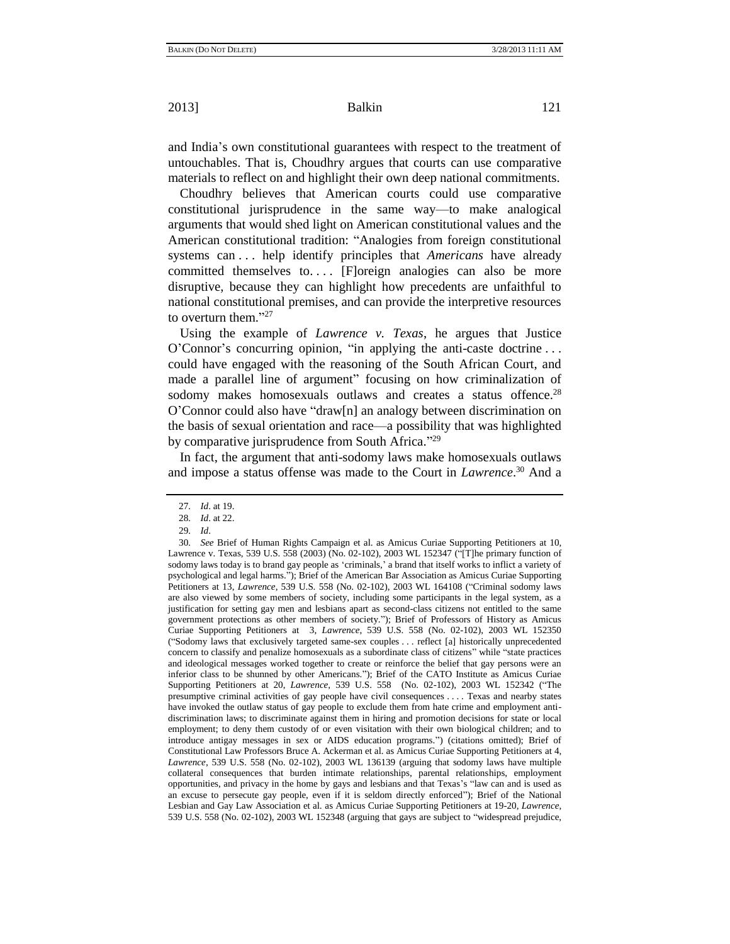and India's own constitutional guarantees with respect to the treatment of untouchables. That is, Choudhry argues that courts can use comparative materials to reflect on and highlight their own deep national commitments.

Choudhry believes that American courts could use comparative constitutional jurisprudence in the same way—to make analogical arguments that would shed light on American constitutional values and the American constitutional tradition: "Analogies from foreign constitutional systems can . . . help identify principles that *Americans* have already committed themselves to.... [F]oreign analogies can also be more disruptive, because they can highlight how precedents are unfaithful to national constitutional premises, and can provide the interpretive resources to overturn them. $^{327}$ 

Using the example of *Lawrence v. Texas*, he argues that Justice  $O'Connor's$  concurring opinion, "in applying the anti-caste doctrine ... could have engaged with the reasoning of the South African Court, and made a parallel line of argument" focusing on how criminalization of sodomy makes homosexuals outlaws and creates a status offence.<sup>28</sup>  $O'$ Connor could also have "draw[n] an analogy between discrimination on the basis of sexual orientation and race—a possibility that was highlighted by comparative jurisprudence from South Africa."<sup>29</sup>

In fact, the argument that anti-sodomy laws make homosexuals outlaws and impose a status offense was made to the Court in *Lawrence*. <sup>30</sup> And a

<span id="page-8-0"></span><sup>27</sup>*. Id*. at 19.

<sup>28</sup>*. Id*. at 22.

<sup>29</sup>*. Id*.

<sup>30</sup>*. See* Brief of Human Rights Campaign et al. as Amicus Curiae Supporting Petitioners at 10, Lawrence v. Texas, 539 U.S. 558 (2003) (No. 02-102), 2003 WL 152347 ("[T]he primary function of sodomy laws today is to brand gay people as 'criminals,' a brand that itself works to inflict a variety of psychological and legal harms.‖); Brief of the American Bar Association as Amicus Curiae Supporting Petitioners at 13, *Lawrence*, 539 U.S. 558 (No. 02-102), 2003 WL 164108 ("Criminal sodomy laws are also viewed by some members of society, including some participants in the legal system, as a justification for setting gay men and lesbians apart as second-class citizens not entitled to the same government protections as other members of society."); Brief of Professors of History as Amicus Curiae Supporting Petitioners at 3, *Lawrence*, 539 U.S. 558 (No. 02-102), 2003 WL 152350 (―Sodomy laws that exclusively targeted same-sex couples . . . reflect [a] historically unprecedented concern to classify and penalize homosexuals as a subordinate class of citizens" while "state practices and ideological messages worked together to create or reinforce the belief that gay persons were an inferior class to be shunned by other Americans."); Brief of the CATO Institute as Amicus Curiae Supporting Petitioners at 20, *Lawrence*, 539 U.S. 558 (No. 02-102), 2003 WL 152342 ("The presumptive criminal activities of gay people have civil consequences . . . . Texas and nearby states have invoked the outlaw status of gay people to exclude them from hate crime and employment antidiscrimination laws; to discriminate against them in hiring and promotion decisions for state or local employment; to deny them custody of or even visitation with their own biological children; and to introduce antigay messages in sex or AIDS education programs.") (citations omitted); Brief of Constitutional Law Professors Bruce A. Ackerman et al. as Amicus Curiae Supporting Petitioners at 4, *Lawrence*, 539 U.S. 558 (No. 02-102), 2003 WL 136139 (arguing that sodomy laws have multiple collateral consequences that burden intimate relationships, parental relationships, employment opportunities, and privacy in the home by gays and lesbians and that Texas's "law can and is used as an excuse to persecute gay people, even if it is seldom directly enforced"); Brief of the National Lesbian and Gay Law Association et al. as Amicus Curiae Supporting Petitioners at 19-20, *Lawrence*, 539 U.S. 558 (No. 02-102), 2003 WL 152348 (arguing that gays are subject to "widespread prejudice,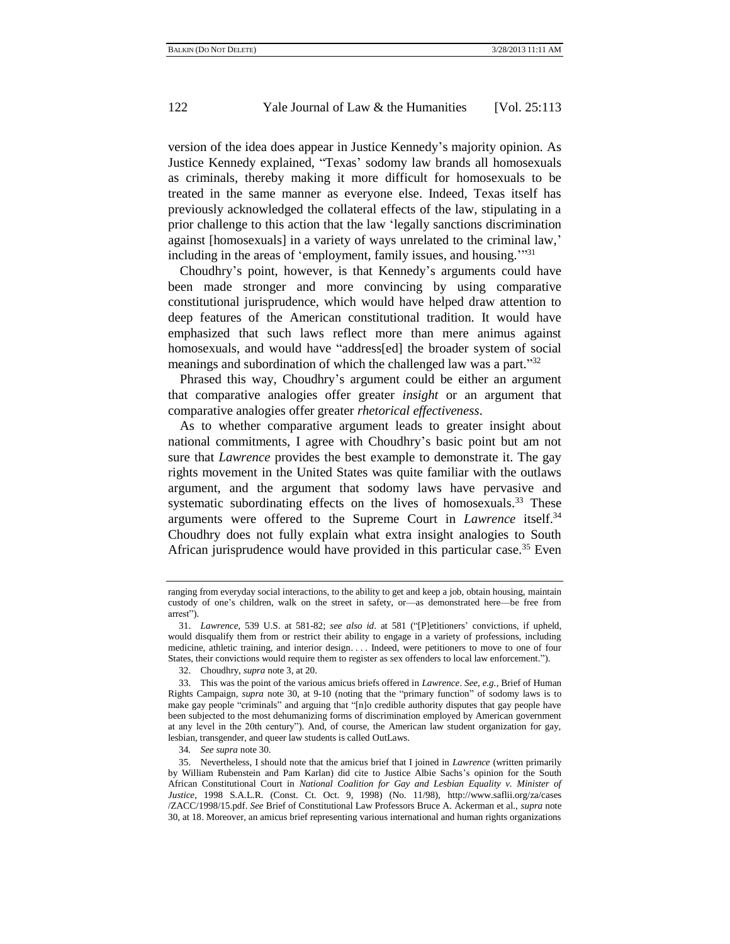version of the idea does appear in Justice Kennedy's majority opinion. As Justice Kennedy explained, "Texas' sodomy law brands all homosexuals as criminals, thereby making it more difficult for homosexuals to be treated in the same manner as everyone else. Indeed, Texas itself has previously acknowledged the collateral effects of the law, stipulating in a prior challenge to this action that the law 'legally sanctions discrimination against [homosexuals] in a variety of ways unrelated to the criminal law,' including in the areas of 'employment, family issues, and housing."<sup>31</sup>

Choudhry's point, however, is that Kennedy's arguments could have been made stronger and more convincing by using comparative constitutional jurisprudence, which would have helped draw attention to deep features of the American constitutional tradition. It would have emphasized that such laws reflect more than mere animus against homosexuals, and would have "address[ed] the broader system of social meanings and subordination of which the challenged law was a part."32

Phrased this way, Choudhry's argument could be either an argument that comparative analogies offer greater *insight* or an argument that comparative analogies offer greater *rhetorical effectiveness*.

As to whether comparative argument leads to greater insight about national commitments, I agree with Choudhry's basic point but am not sure that *Lawrence* provides the best example to demonstrate it. The gay rights movement in the United States was quite familiar with the outlaws argument, and the argument that sodomy laws have pervasive and systematic subordinating effects on the lives of homosexuals.<sup>33</sup> These arguments were offered to the Supreme Court in *Lawrence* itself.<sup>34</sup> Choudhry does not fully explain what extra insight analogies to South African jurisprudence would have provided in this particular case.<sup>35</sup> Even

ranging from everyday social interactions, to the ability to get and keep a job, obtain housing, maintain custody of one's children, walk on the street in safety, or—as demonstrated here—be free from arrest").

<sup>31.</sup> *Lawrence*, 539 U.S. at 581-82; *see also id.* at 581 ("[P]etitioners' convictions, if upheld, would disqualify them from or restrict their ability to engage in a variety of professions, including medicine, athletic training, and interior design. . . . Indeed, were petitioners to move to one of four States, their convictions would require them to register as sex offenders to local law enforcement.").

<sup>32.</sup> Choudhry, *supra* not[e 3,](#page-0-1) at 20.

<sup>33.</sup> This was the point of the various amicus briefs offered in *Lawrence*. *See, e.g.*, Brief of Human Rights Campaign, *supra* note [30,](#page-8-0) at 9-10 (noting that the "primary function" of sodomy laws is to make gay people "criminals" and arguing that "[n]o credible authority disputes that gay people have been subjected to the most dehumanizing forms of discrimination employed by American government at any level in the 20th century"). And, of course, the American law student organization for gay, lesbian, transgender, and queer law students is called OutLaws.

<sup>34</sup>*. See supra* not[e 30.](#page-8-0)

<sup>35.</sup> Nevertheless, I should note that the amicus brief that I joined in *Lawrence* (written primarily by William Rubenstein and Pam Karlan) did cite to Justice Albie Sachs's opinion for the South African Constitutional Court in *National Coalition for Gay and Lesbian Equality v. Minister of Justice*, 1998 S.A.L.R. (Const. Ct. Oct. 9, 1998) (No. 11/98), http://www.saflii.org/za/cases /ZACC/1998/15.pdf. *See* Brief of Constitutional Law Professors Bruce A. Ackerman et al., *supra* note [30,](#page-8-0) at 18. Moreover, an amicus brief representing various international and human rights organizations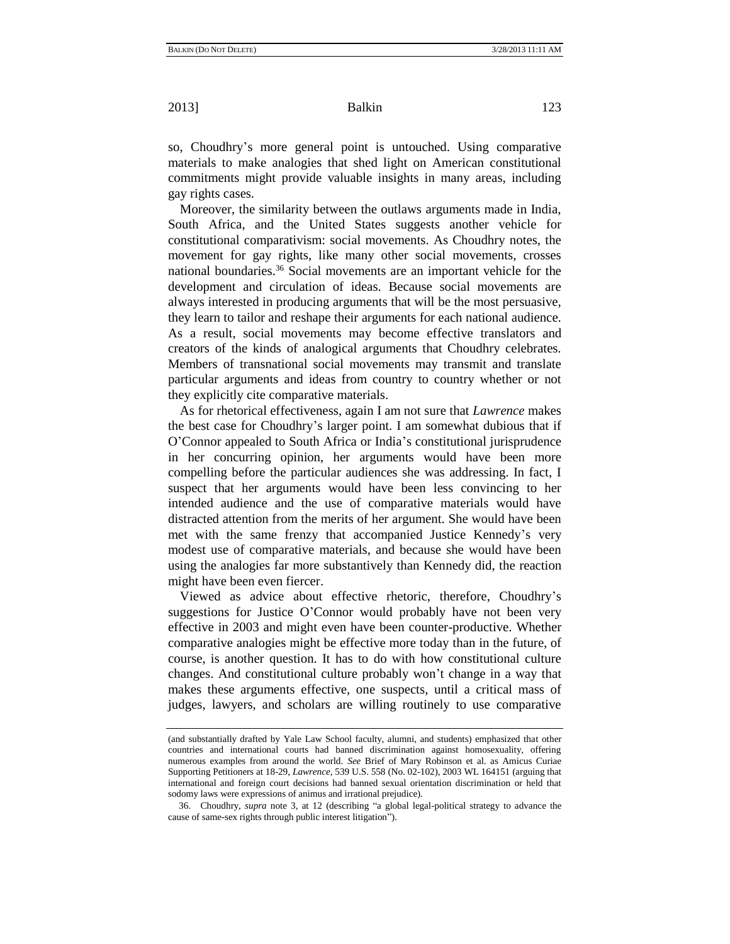so, Choudhry's more general point is untouched. Using comparative materials to make analogies that shed light on American constitutional commitments might provide valuable insights in many areas, including gay rights cases.

Moreover, the similarity between the outlaws arguments made in India, South Africa, and the United States suggests another vehicle for constitutional comparativism: social movements. As Choudhry notes, the movement for gay rights, like many other social movements, crosses national boundaries.<sup>36</sup> Social movements are an important vehicle for the development and circulation of ideas. Because social movements are always interested in producing arguments that will be the most persuasive, they learn to tailor and reshape their arguments for each national audience. As a result, social movements may become effective translators and creators of the kinds of analogical arguments that Choudhry celebrates. Members of transnational social movements may transmit and translate particular arguments and ideas from country to country whether or not they explicitly cite comparative materials.

As for rhetorical effectiveness, again I am not sure that *Lawrence* makes the best case for Choudhry's larger point. I am somewhat dubious that if O'Connor appealed to South Africa or India's constitutional jurisprudence in her concurring opinion, her arguments would have been more compelling before the particular audiences she was addressing. In fact, I suspect that her arguments would have been less convincing to her intended audience and the use of comparative materials would have distracted attention from the merits of her argument. She would have been met with the same frenzy that accompanied Justice Kennedy's very modest use of comparative materials, and because she would have been using the analogies far more substantively than Kennedy did, the reaction might have been even fiercer.

Viewed as advice about effective rhetoric, therefore, Choudhry's suggestions for Justice O'Connor would probably have not been very effective in 2003 and might even have been counter-productive. Whether comparative analogies might be effective more today than in the future, of course, is another question. It has to do with how constitutional culture changes. And constitutional culture probably won't change in a way that makes these arguments effective, one suspects, until a critical mass of judges, lawyers, and scholars are willing routinely to use comparative

<sup>(</sup>and substantially drafted by Yale Law School faculty, alumni, and students) emphasized that other countries and international courts had banned discrimination against homosexuality, offering numerous examples from around the world. *See* Brief of Mary Robinson et al. as Amicus Curiae Supporting Petitioners at 18-29, *Lawrence*, 539 U.S. 558 (No. 02-102), 2003 WL 164151 (arguing that international and foreign court decisions had banned sexual orientation discrimination or held that sodomy laws were expressions of animus and irrational prejudice).

<sup>36.</sup> Choudhry, *supra* note [3,](#page-0-1) at 12 (describing "a global legal-political strategy to advance the cause of same-sex rights through public interest litigation").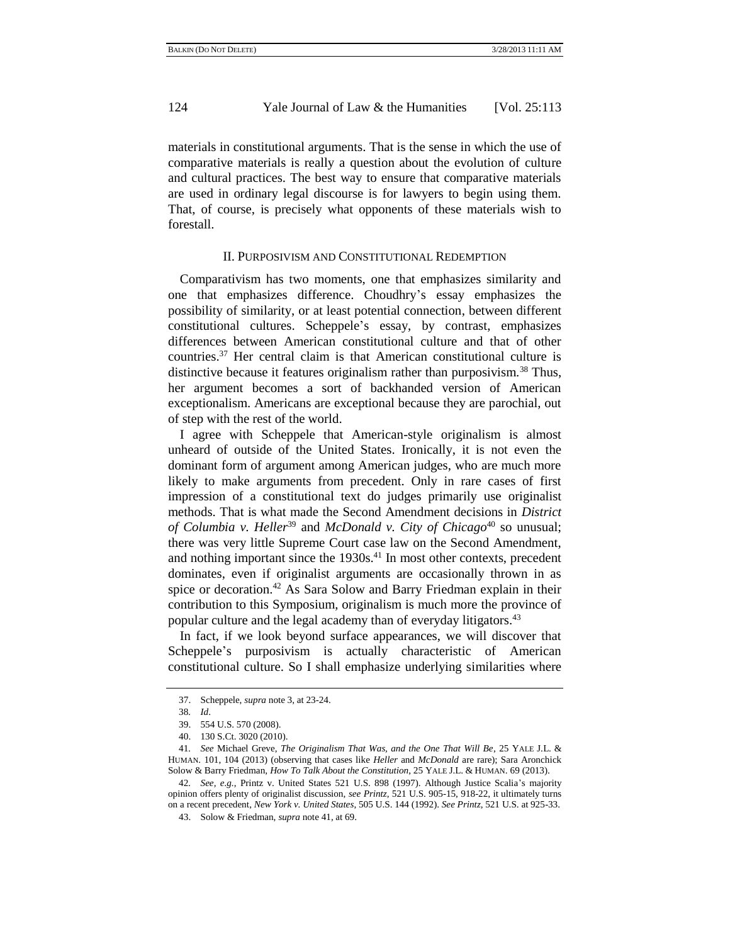materials in constitutional arguments. That is the sense in which the use of comparative materials is really a question about the evolution of culture and cultural practices. The best way to ensure that comparative materials are used in ordinary legal discourse is for lawyers to begin using them. That, of course, is precisely what opponents of these materials wish to forestall.

#### II. PURPOSIVISM AND CONSTITUTIONAL REDEMPTION

Comparativism has two moments, one that emphasizes similarity and one that emphasizes difference. Choudhry's essay emphasizes the possibility of similarity, or at least potential connection, between different constitutional cultures. Scheppele's essay, by contrast, emphasizes differences between American constitutional culture and that of other countries.<sup>37</sup> Her central claim is that American constitutional culture is distinctive because it features originalism rather than purposivism.<sup>38</sup> Thus, her argument becomes a sort of backhanded version of American exceptionalism. Americans are exceptional because they are parochial, out of step with the rest of the world.

I agree with Scheppele that American-style originalism is almost unheard of outside of the United States. Ironically, it is not even the dominant form of argument among American judges, who are much more likely to make arguments from precedent. Only in rare cases of first impression of a constitutional text do judges primarily use originalist methods. That is what made the Second Amendment decisions in *District of Columbia v. Heller*<sup>39</sup> and *McDonald v. City of Chicago*<sup>40</sup> so unusual; there was very little Supreme Court case law on the Second Amendment, and nothing important since the  $1930s<sup>41</sup>$  In most other contexts, precedent dominates, even if originalist arguments are occasionally thrown in as spice or decoration.<sup>42</sup> As Sara Solow and Barry Friedman explain in their contribution to this Symposium, originalism is much more the province of popular culture and the legal academy than of everyday litigators.<sup>43</sup>

<span id="page-11-0"></span>In fact, if we look beyond surface appearances, we will discover that Scheppele's purposivism is actually characteristic of American constitutional culture. So I shall emphasize underlying similarities where

<sup>37.</sup> Scheppele, *supra* not[e 3,](#page-0-1) at 23-24.

<sup>38</sup>*. Id*.

<sup>39.</sup> 554 U.S. 570 (2008).

<sup>40.</sup> 130 S.Ct. 3020 (2010).

<sup>41</sup>*. See* Michael Greve, *The Originalism That Was, and the One That Will Be*, 25 YALE J.L. & HUMAN. 101, 104 (2013) (observing that cases like *Heller* and *McDonald* are rare); Sara Aronchick Solow & Barry Friedman, *How To Talk About the Constitution*, 25 YALE J.L. & HUMAN. 69 (2013).

<sup>42</sup>*. See, e.g.*, Printz v. United States 521 U.S. 898 (1997). Although Justice Scalia's majority opinion offers plenty of originalist discussion, *see Printz*, 521 U.S. 905-15, 918-22, it ultimately turns on a recent precedent, *New York v. United States*, 505 U.S. 144 (1992). *See Printz*, 521 U.S. at 925-33.

<sup>43.</sup> Solow & Friedman, *supra* not[e 41,](#page-11-0) at 69.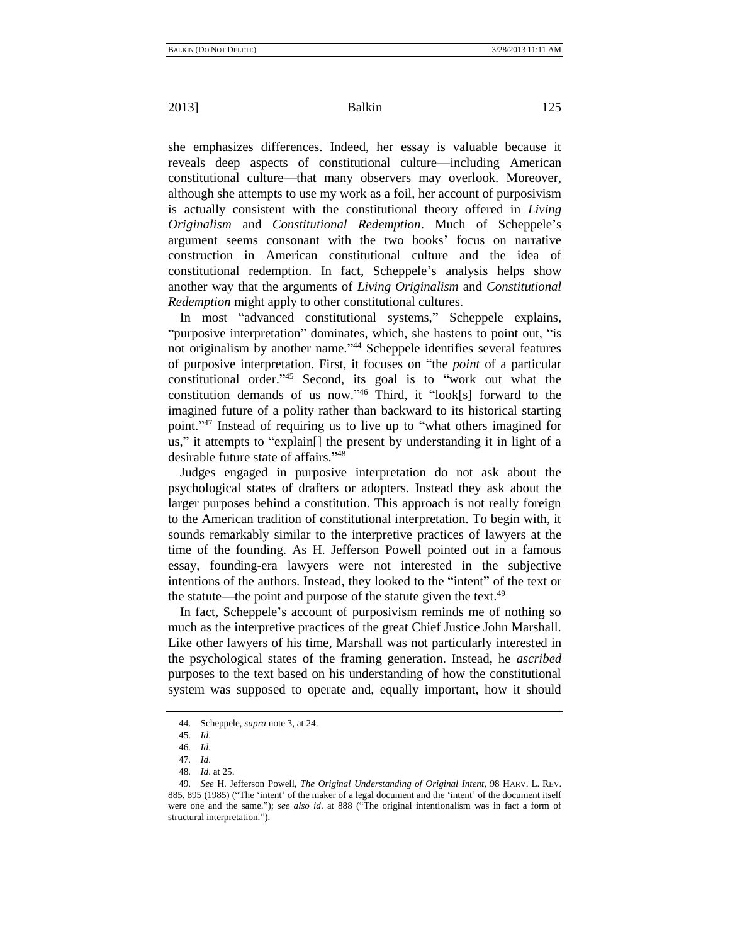she emphasizes differences. Indeed, her essay is valuable because it reveals deep aspects of constitutional culture—including American constitutional culture—that many observers may overlook. Moreover, although she attempts to use my work as a foil, her account of purposivism is actually consistent with the constitutional theory offered in *Living Originalism* and *Constitutional Redemption*. Much of Scheppele's argument seems consonant with the two books' focus on narrative construction in American constitutional culture and the idea of constitutional redemption. In fact, Scheppele's analysis helps show another way that the arguments of *Living Originalism* and *Constitutional Redemption* might apply to other constitutional cultures.

In most "advanced constitutional systems," Scheppele explains, "purposive interpretation" dominates, which, she hastens to point out, "is not originalism by another name."<sup>44</sup> Scheppele identifies several features of purposive interpretation. First, it focuses on "the *point* of a particular constitutional order.<sup>345</sup> Second, its goal is to "work out what the constitution demands of us now.<sup>46</sup> Third, it "look[s] forward to the imagined future of a polity rather than backward to its historical starting point."<sup>47</sup> Instead of requiring us to live up to "what others imagined for us," it attempts to "explain<sup>[]</sup> the present by understanding it in light of a desirable future state of affairs."48

Judges engaged in purposive interpretation do not ask about the psychological states of drafters or adopters. Instead they ask about the larger purposes behind a constitution. This approach is not really foreign to the American tradition of constitutional interpretation. To begin with, it sounds remarkably similar to the interpretive practices of lawyers at the time of the founding. As H. Jefferson Powell pointed out in a famous essay, founding-era lawyers were not interested in the subjective intentions of the authors. Instead, they looked to the "intent" of the text or the statute—the point and purpose of the statute given the text.<sup>49</sup>

In fact, Scheppele's account of purposivism reminds me of nothing so much as the interpretive practices of the great Chief Justice John Marshall. Like other lawyers of his time, Marshall was not particularly interested in the psychological states of the framing generation. Instead, he *ascribed* purposes to the text based on his understanding of how the constitutional system was supposed to operate and, equally important, how it should

<sup>44.</sup> Scheppele*, supra* not[e 3,](#page-0-1) at 24.

<sup>45</sup>*. Id*.

<sup>46</sup>*. Id*. 47*. Id*.

<sup>48</sup>*. Id*. at 25.

<sup>49</sup>*. See* H. Jefferson Powell, *The Original Understanding of Original Intent*, 98 HARV. L. REV. 885, 895 (1985) ("The 'intent' of the maker of a legal document and the 'intent' of the document itself were one and the same."); see also id. at 888 ("The original intentionalism was in fact a form of structural interpretation.").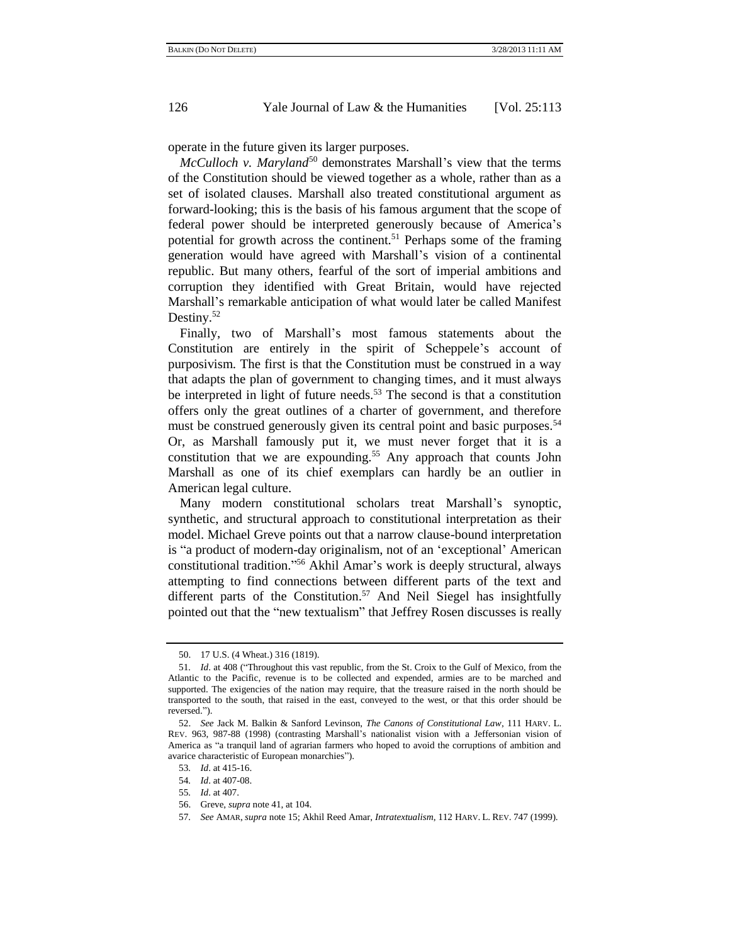operate in the future given its larger purposes.

*McCulloch v. Maryland* <sup>50</sup> demonstrates Marshall's view that the terms of the Constitution should be viewed together as a whole, rather than as a set of isolated clauses. Marshall also treated constitutional argument as forward-looking; this is the basis of his famous argument that the scope of federal power should be interpreted generously because of America's potential for growth across the continent.<sup>51</sup> Perhaps some of the framing generation would have agreed with Marshall's vision of a continental republic. But many others, fearful of the sort of imperial ambitions and corruption they identified with Great Britain, would have rejected Marshall's remarkable anticipation of what would later be called Manifest Destiny.<sup>52</sup>

Finally, two of Marshall's most famous statements about the Constitution are entirely in the spirit of Scheppele's account of purposivism. The first is that the Constitution must be construed in a way that adapts the plan of government to changing times, and it must always be interpreted in light of future needs.<sup>53</sup> The second is that a constitution offers only the great outlines of a charter of government, and therefore must be construed generously given its central point and basic purposes.<sup>54</sup> Or, as Marshall famously put it, we must never forget that it is a constitution that we are expounding.<sup>55</sup> Any approach that counts John Marshall as one of its chief exemplars can hardly be an outlier in American legal culture.

Many modern constitutional scholars treat Marshall's synoptic, synthetic, and structural approach to constitutional interpretation as their model. Michael Greve points out that a narrow clause-bound interpretation is "a product of modern-day originalism, not of an 'exceptional' American constitutional tradition."<sup>56</sup> Akhil Amar's work is deeply structural, always attempting to find connections between different parts of the text and different parts of the Constitution.<sup>57</sup> And Neil Siegel has insightfully pointed out that the "new textualism" that Jeffrey Rosen discusses is really

<sup>50.</sup> 17 U.S. (4 Wheat.) 316 (1819).

<sup>51.</sup> *Id.* at 408 ("Throughout this vast republic, from the St. Croix to the Gulf of Mexico, from the Atlantic to the Pacific, revenue is to be collected and expended, armies are to be marched and supported. The exigencies of the nation may require, that the treasure raised in the north should be transported to the south, that raised in the east, conveyed to the west, or that this order should be reversed.").

<sup>52.</sup> *See* Jack M. Balkin & Sanford Levinson, *The Canons of Constitutional Law*, 111 HARV. L. REV. 963, 987-88 (1998) (contrasting Marshall's nationalist vision with a Jeffersonian vision of America as "a tranquil land of agrarian farmers who hoped to avoid the corruptions of ambition and avarice characteristic of European monarchies").

<sup>53</sup>*. Id*. at 415-16.

<sup>54</sup>*. Id*. at 407-08.

<sup>55</sup>*. Id*. at 407.

<sup>56.</sup> Greve, *supra* not[e 41,](#page-11-0) at 104.

<sup>57</sup>*. See* AMAR, *supra* not[e 15;](#page-3-0) Akhil Reed Amar, *Intratextualism*, 112 HARV. L. REV. 747 (1999).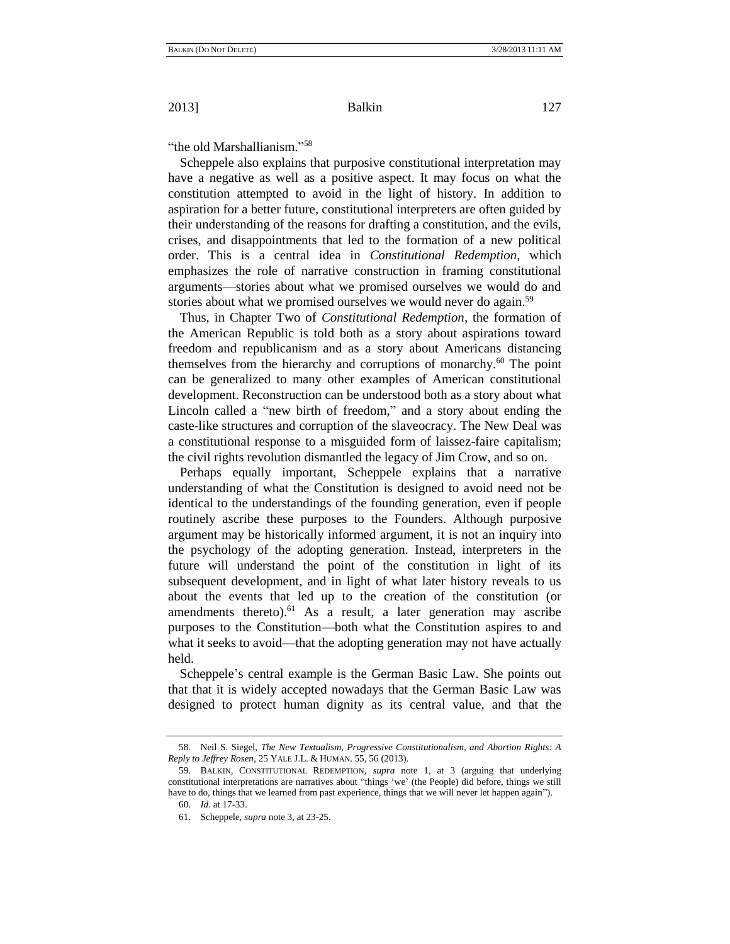<span id="page-14-0"></span>"the old Marshallianism."<sup>58</sup>

Scheppele also explains that purposive constitutional interpretation may have a negative as well as a positive aspect. It may focus on what the constitution attempted to avoid in the light of history. In addition to aspiration for a better future, constitutional interpreters are often guided by their understanding of the reasons for drafting a constitution, and the evils, crises, and disappointments that led to the formation of a new political order. This is a central idea in *Constitutional Redemption*, which emphasizes the role of narrative construction in framing constitutional arguments—stories about what we promised ourselves we would do and stories about what we promised ourselves we would never do again.<sup>59</sup>

Thus, in Chapter Two of *Constitutional Redemption*, the formation of the American Republic is told both as a story about aspirations toward freedom and republicanism and as a story about Americans distancing themselves from the hierarchy and corruptions of monarchy.<sup>60</sup> The point can be generalized to many other examples of American constitutional development. Reconstruction can be understood both as a story about what Lincoln called a "new birth of freedom," and a story about ending the caste-like structures and corruption of the slaveocracy. The New Deal was a constitutional response to a misguided form of laissez-faire capitalism; the civil rights revolution dismantled the legacy of Jim Crow, and so on.

Perhaps equally important, Scheppele explains that a narrative understanding of what the Constitution is designed to avoid need not be identical to the understandings of the founding generation, even if people routinely ascribe these purposes to the Founders. Although purposive argument may be historically informed argument, it is not an inquiry into the psychology of the adopting generation. Instead, interpreters in the future will understand the point of the constitution in light of its subsequent development, and in light of what later history reveals to us about the events that led up to the creation of the constitution (or amendments thereto).<sup>61</sup> As a result, a later generation may ascribe purposes to the Constitution—both what the Constitution aspires to and what it seeks to avoid—that the adopting generation may not have actually held.

Scheppele's central example is the German Basic Law. She points out that that it is widely accepted nowadays that the German Basic Law was designed to protect human dignity as its central value, and that the

<sup>58.</sup> Neil S. Siegel, *The New Textualism, Progressive Constitutionalism, and Abortion Rights: A Reply to Jeffrey Rosen*, 25 YALE J.L. & HUMAN. 55, 56 (2013).

<sup>59.</sup> BALKIN, CONSTITUTIONAL REDEMPTION, *supra* note [1,](#page-0-0) at 3 (arguing that underlying constitutional interpretations are narratives about "things 'we' (the People) did before, things we still have to do, things that we learned from past experience, things that we will never let happen again").

<sup>60</sup>*. Id*. at 17-33.

<sup>61.</sup> Scheppele, *supra* not[e 3,](#page-0-1) at 23-25.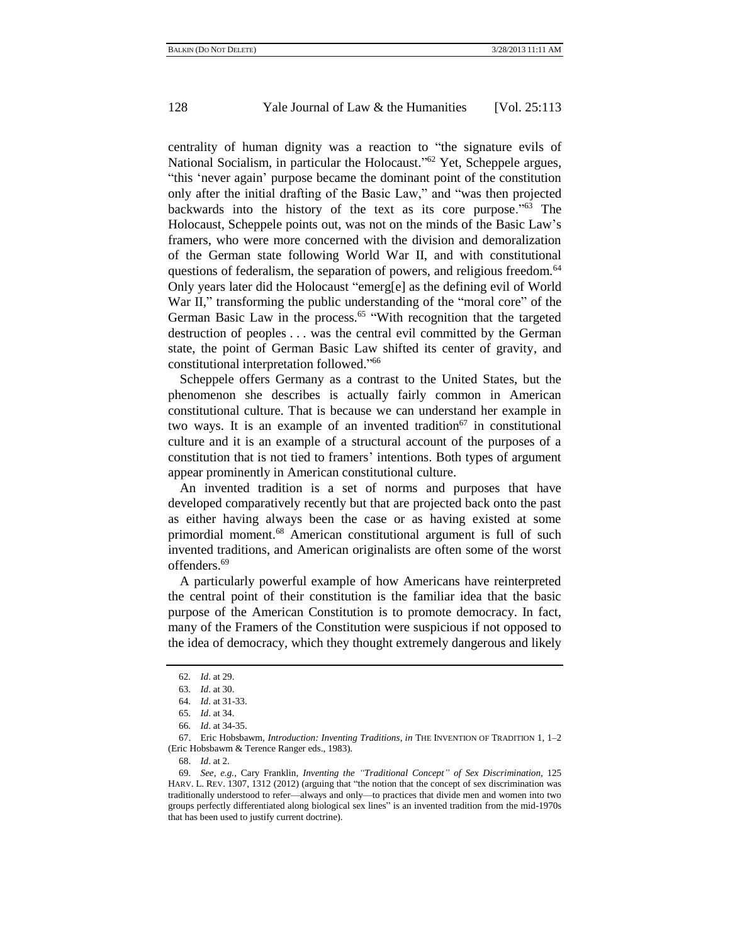centrality of human dignity was a reaction to "the signature evils of National Socialism, in particular the Holocaust."<sup>62</sup> Yet, Scheppele argues, "this 'never again' purpose became the dominant point of the constitution only after the initial drafting of the Basic Law," and "was then projected backwards into the history of the text as its core purpose.<sup> $163$ </sup> The Holocaust, Scheppele points out, was not on the minds of the Basic Law's framers, who were more concerned with the division and demoralization of the German state following World War II, and with constitutional questions of federalism, the separation of powers, and religious freedom.<sup>64</sup> Only years later did the Holocaust "emerg[e] as the defining evil of World War II," transforming the public understanding of the "moral core" of the German Basic Law in the process.<sup>65</sup> "With recognition that the targeted destruction of peoples . . . was the central evil committed by the German state, the point of German Basic Law shifted its center of gravity, and constitutional interpretation followed."<sup>66</sup>

Scheppele offers Germany as a contrast to the United States, but the phenomenon she describes is actually fairly common in American constitutional culture. That is because we can understand her example in two ways. It is an example of an invented tradition<sup>67</sup> in constitutional culture and it is an example of a structural account of the purposes of a constitution that is not tied to framers' intentions. Both types of argument appear prominently in American constitutional culture.

An invented tradition is a set of norms and purposes that have developed comparatively recently but that are projected back onto the past as either having always been the case or as having existed at some primordial moment.<sup>68</sup> American constitutional argument is full of such invented traditions, and American originalists are often some of the worst offenders.<sup>69</sup>

A particularly powerful example of how Americans have reinterpreted the central point of their constitution is the familiar idea that the basic purpose of the American Constitution is to promote democracy. In fact, many of the Framers of the Constitution were suspicious if not opposed to the idea of democracy, which they thought extremely dangerous and likely

<sup>62</sup>*. Id*. at 29.

<sup>63</sup>*. Id*. at 30.

<sup>64</sup>*. Id*. at 31-33.

<sup>65</sup>*. Id*. at 34.

<sup>66</sup>*. Id*. at 34-35.

<sup>67.</sup> Eric Hobsbawm, *Introduction: Inventing Traditions*, *in* THE INVENTION OF TRADITION 1, 1–2 (Eric Hobsbawm & Terence Ranger eds., 1983).

<sup>68.</sup> *Id*. at 2.

<sup>69</sup>*. See, e.g.*, Cary Franklin, *Inventing the "Traditional Concept" of Sex Discrimination*, 125 HARV. L. REV. 1307, 1312 (2012) (arguing that "the notion that the concept of sex discrimination was traditionally understood to refer—always and only—to practices that divide men and women into two groups perfectly differentiated along biological sex lines" is an invented tradition from the mid-1970s that has been used to justify current doctrine).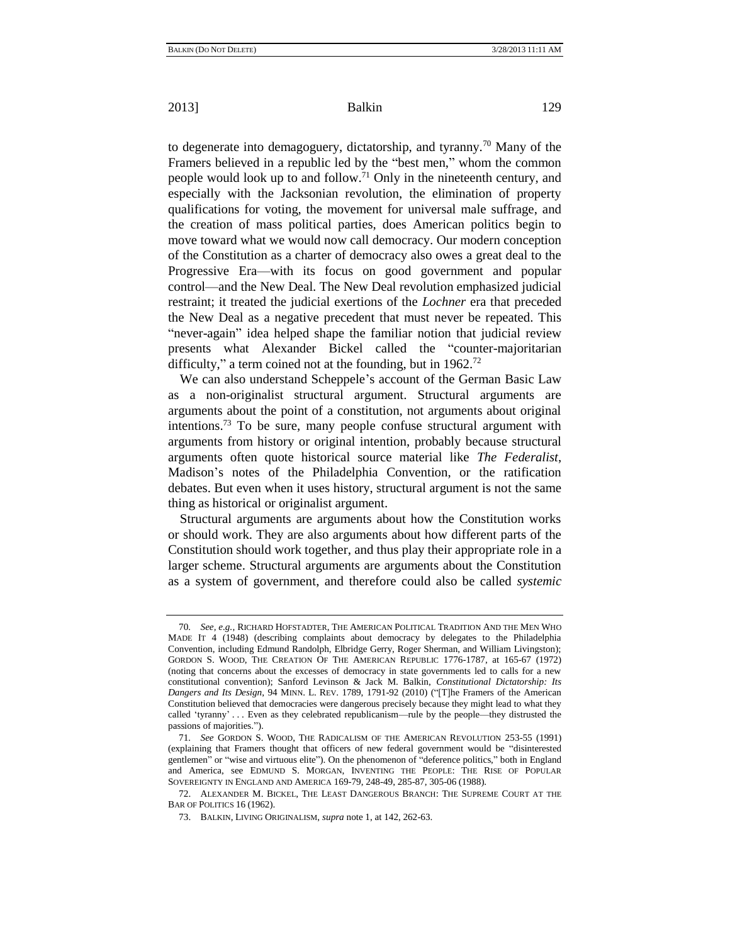to degenerate into demagoguery, dictatorship, and tyranny.<sup>70</sup> Many of the Framers believed in a republic led by the "best men," whom the common people would look up to and follow.<sup>71</sup> Only in the nineteenth century, and especially with the Jacksonian revolution, the elimination of property qualifications for voting, the movement for universal male suffrage, and the creation of mass political parties, does American politics begin to move toward what we would now call democracy. Our modern conception of the Constitution as a charter of democracy also owes a great deal to the Progressive Era—with its focus on good government and popular control—and the New Deal. The New Deal revolution emphasized judicial restraint; it treated the judicial exertions of the *Lochner* era that preceded the New Deal as a negative precedent that must never be repeated. This "never-again" idea helped shape the familiar notion that judicial review presents what Alexander Bickel called the "counter-majoritarian" difficulty," a term coined not at the founding, but in  $1962$ <sup>72</sup>

We can also understand Scheppele's account of the German Basic Law as a non-originalist structural argument. Structural arguments are arguments about the point of a constitution, not arguments about original intentions.<sup>73</sup> To be sure, many people confuse structural argument with arguments from history or original intention, probably because structural arguments often quote historical source material like *The Federalist*, Madison's notes of the Philadelphia Convention, or the ratification debates. But even when it uses history, structural argument is not the same thing as historical or originalist argument.

Structural arguments are arguments about how the Constitution works or should work. They are also arguments about how different parts of the Constitution should work together, and thus play their appropriate role in a larger scheme. Structural arguments are arguments about the Constitution as a system of government, and therefore could also be called *systemic*

<sup>70</sup>*. See, e.g.*, RICHARD HOFSTADTER, THE AMERICAN POLITICAL TRADITION AND THE MEN WHO MADE IT 4 (1948) (describing complaints about democracy by delegates to the Philadelphia Convention, including Edmund Randolph, Elbridge Gerry, Roger Sherman, and William Livingston); GORDON S. WOOD, THE CREATION OF THE AMERICAN REPUBLIC 1776-1787, at 165-67 (1972) (noting that concerns about the excesses of democracy in state governments led to calls for a new constitutional convention); Sanford Levinson & Jack M. Balkin, *Constitutional Dictatorship: Its Dangers and Its Design*, 94 MINN. L. REV. 1789, 1791-92 (2010) ("The Framers of the American Constitution believed that democracies were dangerous precisely because they might lead to what they called 'tyranny' . . . Even as they celebrated republicanism—rule by the people—they distrusted the passions of majorities.").

<sup>71</sup>*. See* GORDON S. WOOD, THE RADICALISM OF THE AMERICAN REVOLUTION 253-55 (1991) (explaining that Framers thought that officers of new federal government would be "disinterested gentlemen<sup>"</sup> or "wise and virtuous elite"). On the phenomenon of "deference politics," both in England and America, see EDMUND S. MORGAN, INVENTING THE PEOPLE: THE RISE OF POPULAR SOVEREIGNTY IN ENGLAND AND AMERICA 169-79, 248-49, 285-87, 305-06 (1988).

<sup>72.</sup> ALEXANDER M. BICKEL, THE LEAST DANGEROUS BRANCH: THE SUPREME COURT AT THE BAR OF POLITICS 16 (1962).

<sup>73.</sup> BALKIN, LIVING ORIGINALISM, *supra* not[e 1,](#page-0-0) at 142, 262-63.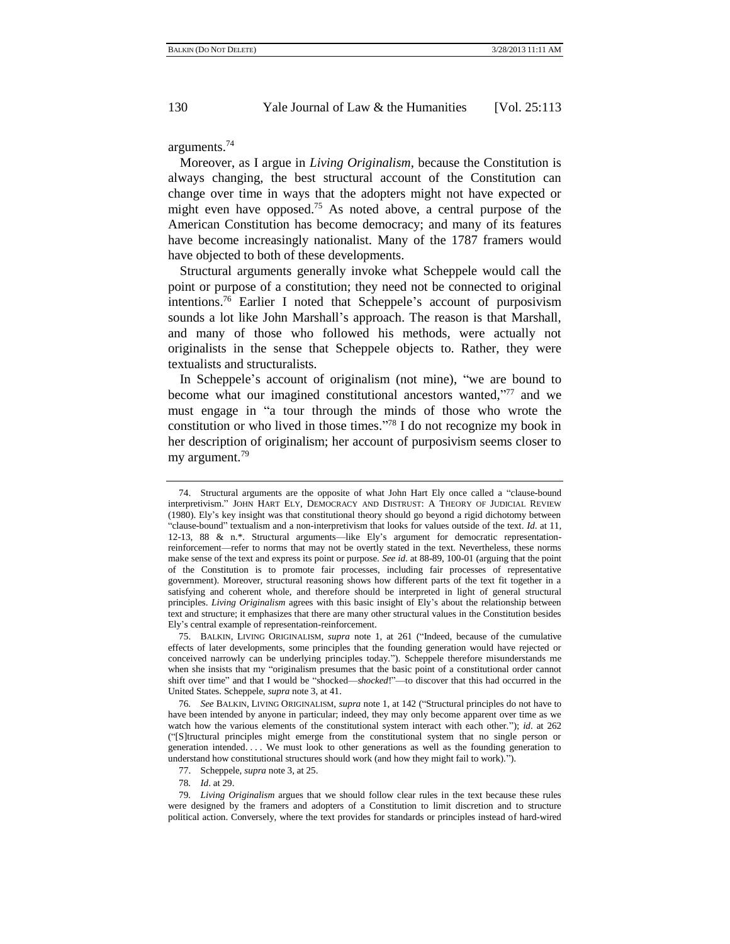arguments.<sup>74</sup>

Moreover, as I argue in *Living Originalism*, because the Constitution is always changing, the best structural account of the Constitution can change over time in ways that the adopters might not have expected or might even have opposed.<sup>75</sup> As noted above, a central purpose of the American Constitution has become democracy; and many of its features have become increasingly nationalist. Many of the 1787 framers would have objected to both of these developments.

Structural arguments generally invoke what Scheppele would call the point or purpose of a constitution; they need not be connected to original intentions.<sup>76</sup> Earlier I noted that Scheppele's account of purposivism sounds a lot like John Marshall's approach. The reason is that Marshall, and many of those who followed his methods, were actually not originalists in the sense that Scheppele objects to. Rather, they were textualists and structuralists.

In Scheppele's account of originalism (not mine), "we are bound to become what our imagined constitutional ancestors wanted,"77 and we must engage in "a tour through the minds of those who wrote the constitution or who lived in those times. $\frac{1}{2}$  I do not recognize my book in her description of originalism; her account of purposivism seems closer to my argument.<sup>79</sup>

<sup>74.</sup> Structural arguments are the opposite of what John Hart Ely once called a "clause-bound interpretivism.‖ JOHN HART ELY, DEMOCRACY AND DISTRUST: A THEORY OF JUDICIAL REVIEW (1980). Ely's key insight was that constitutional theory should go beyond a rigid dichotomy between ―clause-bound‖ textualism and a non-interpretivism that looks for values outside of the text. *Id*. at 11, 12-13, 88 & n.\*. Structural arguments—like Ely's argument for democratic representationreinforcement—refer to norms that may not be overtly stated in the text. Nevertheless, these norms make sense of the text and express its point or purpose. *See id*. at 88-89, 100-01 (arguing that the point of the Constitution is to promote fair processes, including fair processes of representative government). Moreover, structural reasoning shows how different parts of the text fit together in a satisfying and coherent whole, and therefore should be interpreted in light of general structural principles. *Living Originalism* agrees with this basic insight of Ely's about the relationship between text and structure; it emphasizes that there are many other structural values in the Constitution besides Ely's central example of representation-reinforcement.

<sup>75.</sup> BALKIN, LIVING ORIGINALISM, *supra* note [1,](#page-0-0) at 261 ("Indeed, because of the cumulative effects of later developments, some principles that the founding generation would have rejected or conceived narrowly can be underlying principles today.‖). Scheppele therefore misunderstands me when she insists that my "originalism presumes that the basic point of a constitutional order cannot shift over time" and that I would be "shocked—shocked!"—to discover that this had occurred in the United States. Scheppele, *supra* note 3, at 41.

<sup>76.</sup> See BALKIN, LIVING ORIGINALISM, *supra* not[e 1,](#page-0-0) at 142 ("Structural principles do not have to have been intended by anyone in particular; indeed, they may only become apparent over time as we watch how the various elements of the constitutional system interact with each other."); *id.* at 262 (―[S]tructural principles might emerge from the constitutional system that no single person or generation intended. . . . We must look to other generations as well as the founding generation to understand how constitutional structures should work (and how they might fail to work).").

<sup>77.</sup> Scheppele, *supra* not[e 3,](#page-0-1) at 25.

<sup>78</sup>*. Id*. at 29.

<sup>79</sup>*. Living Originalism* argues that we should follow clear rules in the text because these rules were designed by the framers and adopters of a Constitution to limit discretion and to structure political action. Conversely, where the text provides for standards or principles instead of hard-wired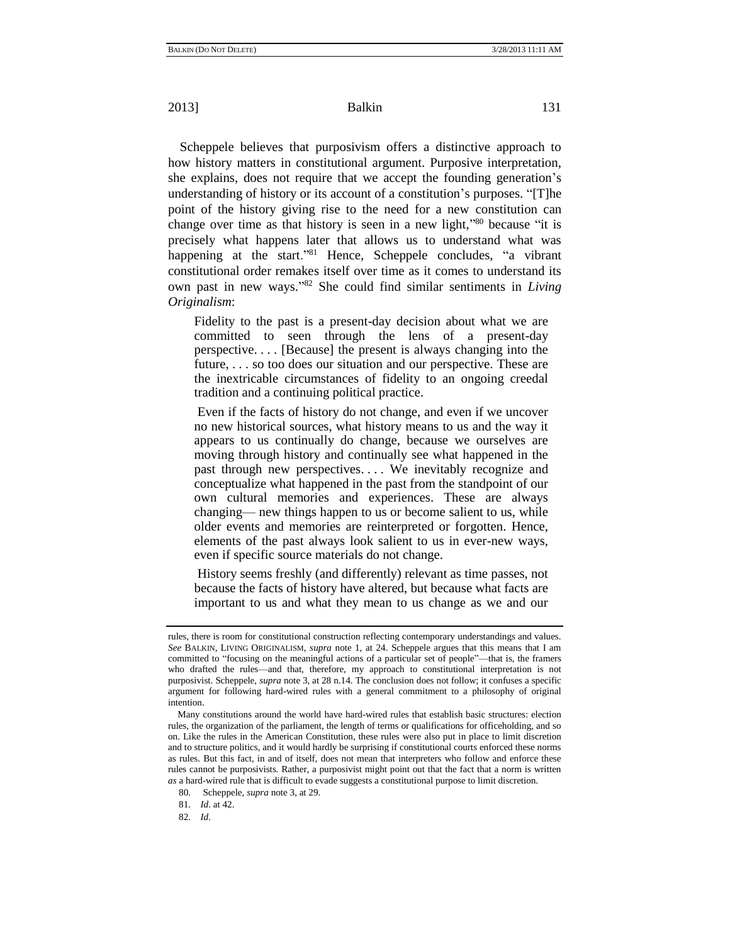Scheppele believes that purposivism offers a distinctive approach to how history matters in constitutional argument. Purposive interpretation, she explains, does not require that we accept the founding generation's understanding of history or its account of a constitution's purposes. "[T]he point of the history giving rise to the need for a new constitution can change over time as that history is seen in a new light,"<sup>80</sup> because "it is precisely what happens later that allows us to understand what was happening at the start."<sup>81</sup> Hence, Scheppele concludes, "a vibrant constitutional order remakes itself over time as it comes to understand its own past in new ways."<sup>82</sup> She could find similar sentiments in *Living Originalism*:

Fidelity to the past is a present-day decision about what we are committed to seen through the lens of a present-day perspective. . . . [Because] the present is always changing into the future, . . . so too does our situation and our perspective. These are the inextricable circumstances of fidelity to an ongoing creedal tradition and a continuing political practice.

Even if the facts of history do not change, and even if we uncover no new historical sources, what history means to us and the way it appears to us continually do change, because we ourselves are moving through history and continually see what happened in the past through new perspectives. . . . We inevitably recognize and conceptualize what happened in the past from the standpoint of our own cultural memories and experiences. These are always changing— new things happen to us or become salient to us, while older events and memories are reinterpreted or forgotten. Hence, elements of the past always look salient to us in ever-new ways, even if specific source materials do not change.

History seems freshly (and differently) relevant as time passes, not because the facts of history have altered, but because what facts are important to us and what they mean to us change as we and our

81*. Id*. at 42.

82*. Id*.

rules, there is room for constitutional construction reflecting contemporary understandings and values. *See* BALKIN, LIVING ORIGINALISM, *supra* note [1,](#page-0-0) at 24. Scheppele argues that this means that I am committed to "focusing on the meaningful actions of a particular set of people"—that is, the framers who drafted the rules—and that, therefore, my approach to constitutional interpretation is not purposivist. Scheppele, *supra* not[e 3,](#page-0-1) at 28 n.14. The conclusion does not follow; it confuses a specific argument for following hard-wired rules with a general commitment to a philosophy of original intention.

Many constitutions around the world have hard-wired rules that establish basic structures: election rules, the organization of the parliament, the length of terms or qualifications for officeholding, and so on. Like the rules in the American Constitution, these rules were also put in place to limit discretion and to structure politics, and it would hardly be surprising if constitutional courts enforced these norms as rules. But this fact, in and of itself, does not mean that interpreters who follow and enforce these rules cannot be purposivists. Rather, a purposivist might point out that the fact that a norm is written *as* a hard-wired rule that is difficult to evade suggests a constitutional purpose to limit discretion.

<sup>80</sup>*.* Scheppele, *supra* not[e 3,](#page-0-1) at 29.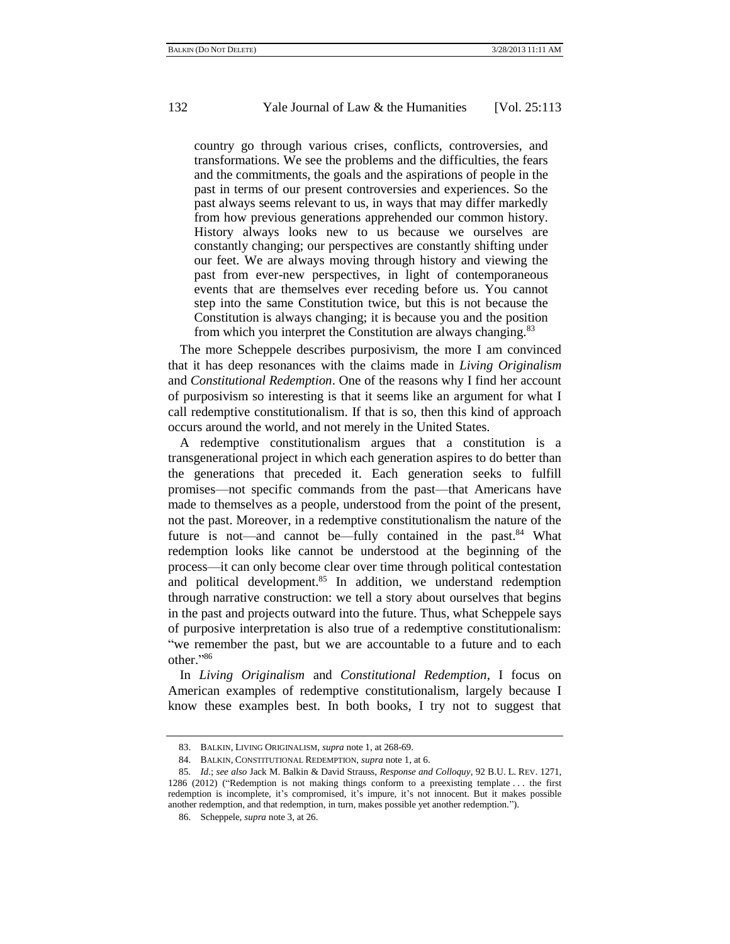country go through various crises, conflicts, controversies, and transformations. We see the problems and the difficulties, the fears and the commitments, the goals and the aspirations of people in the past in terms of our present controversies and experiences. So the past always seems relevant to us, in ways that may differ markedly from how previous generations apprehended our common history. History always looks new to us because we ourselves are constantly changing; our perspectives are constantly shifting under our feet. We are always moving through history and viewing the past from ever-new perspectives, in light of contemporaneous events that are themselves ever receding before us. You cannot step into the same Constitution twice, but this is not because the Constitution is always changing; it is because you and the position from which you interpret the Constitution are always changing.<sup>83</sup>

The more Scheppele describes purposivism, the more I am convinced that it has deep resonances with the claims made in *Living Originalism* and *Constitutional Redemption*. One of the reasons why I find her account of purposivism so interesting is that it seems like an argument for what I call redemptive constitutionalism. If that is so, then this kind of approach occurs around the world, and not merely in the United States.

A redemptive constitutionalism argues that a constitution is a transgenerational project in which each generation aspires to do better than the generations that preceded it. Each generation seeks to fulfill promises—not specific commands from the past—that Americans have made to themselves as a people, understood from the point of the present, not the past. Moreover, in a redemptive constitutionalism the nature of the future is not—and cannot be—fully contained in the past.<sup>84</sup> What redemption looks like cannot be understood at the beginning of the process—it can only become clear over time through political contestation and political development.<sup>85</sup> In addition, we understand redemption through narrative construction: we tell a story about ourselves that begins in the past and projects outward into the future. Thus, what Scheppele says of purposive interpretation is also true of a redemptive constitutionalism: "we remember the past, but we are accountable to a future and to each other."<sup>86</sup>

In *Living Originalism* and *Constitutional Redemption*, I focus on American examples of redemptive constitutionalism, largely because I know these examples best. In both books, I try not to suggest that

<sup>83.</sup> BALKIN, LIVING ORIGINALISM, *supra* not[e 1,](#page-0-0) at 268-69.

<sup>84.</sup> BALKIN, CONSTITUTIONAL REDEMPTION, *supra* not[e 1,](#page-0-0) at 6.

<sup>85</sup>*. Id*.; *see also* Jack M. Balkin & David Strauss, *Response and Colloquy*, 92 B.U. L. REV. 1271, 1286 (2012) ("Redemption is not making things conform to a preexisting template  $\dots$  the first redemption is incomplete, it's compromised, it's impure, it's not innocent. But it makes possible another redemption, and that redemption, in turn, makes possible yet another redemption.").

<sup>86.</sup> Scheppele, *supra* note [3,](#page-0-1) at 26.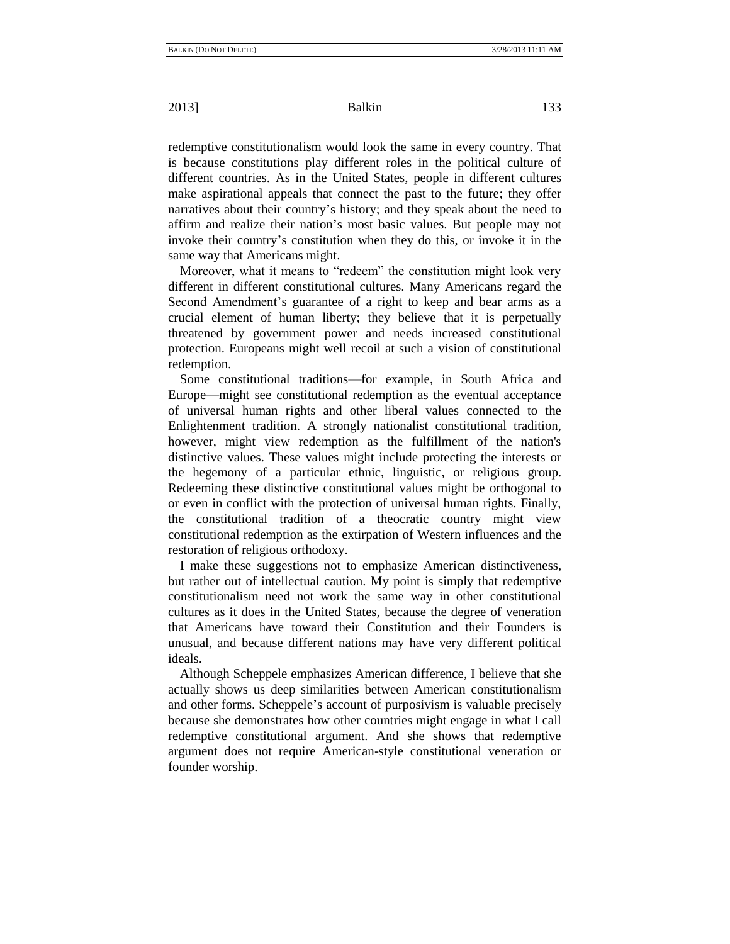redemptive constitutionalism would look the same in every country. That is because constitutions play different roles in the political culture of different countries. As in the United States, people in different cultures make aspirational appeals that connect the past to the future; they offer narratives about their country's history; and they speak about the need to affirm and realize their nation's most basic values. But people may not invoke their country's constitution when they do this, or invoke it in the same way that Americans might.

Moreover, what it means to "redeem" the constitution might look very different in different constitutional cultures. Many Americans regard the Second Amendment's guarantee of a right to keep and bear arms as a crucial element of human liberty; they believe that it is perpetually threatened by government power and needs increased constitutional protection. Europeans might well recoil at such a vision of constitutional redemption.

Some constitutional traditions—for example, in South Africa and Europe—might see constitutional redemption as the eventual acceptance of universal human rights and other liberal values connected to the Enlightenment tradition. A strongly nationalist constitutional tradition, however, might view redemption as the fulfillment of the nation's distinctive values. These values might include protecting the interests or the hegemony of a particular ethnic, linguistic, or religious group. Redeeming these distinctive constitutional values might be orthogonal to or even in conflict with the protection of universal human rights. Finally, the constitutional tradition of a theocratic country might view constitutional redemption as the extirpation of Western influences and the restoration of religious orthodoxy.

I make these suggestions not to emphasize American distinctiveness, but rather out of intellectual caution. My point is simply that redemptive constitutionalism need not work the same way in other constitutional cultures as it does in the United States, because the degree of veneration that Americans have toward their Constitution and their Founders is unusual, and because different nations may have very different political ideals.

Although Scheppele emphasizes American difference, I believe that she actually shows us deep similarities between American constitutionalism and other forms. Scheppele's account of purposivism is valuable precisely because she demonstrates how other countries might engage in what I call redemptive constitutional argument. And she shows that redemptive argument does not require American-style constitutional veneration or founder worship.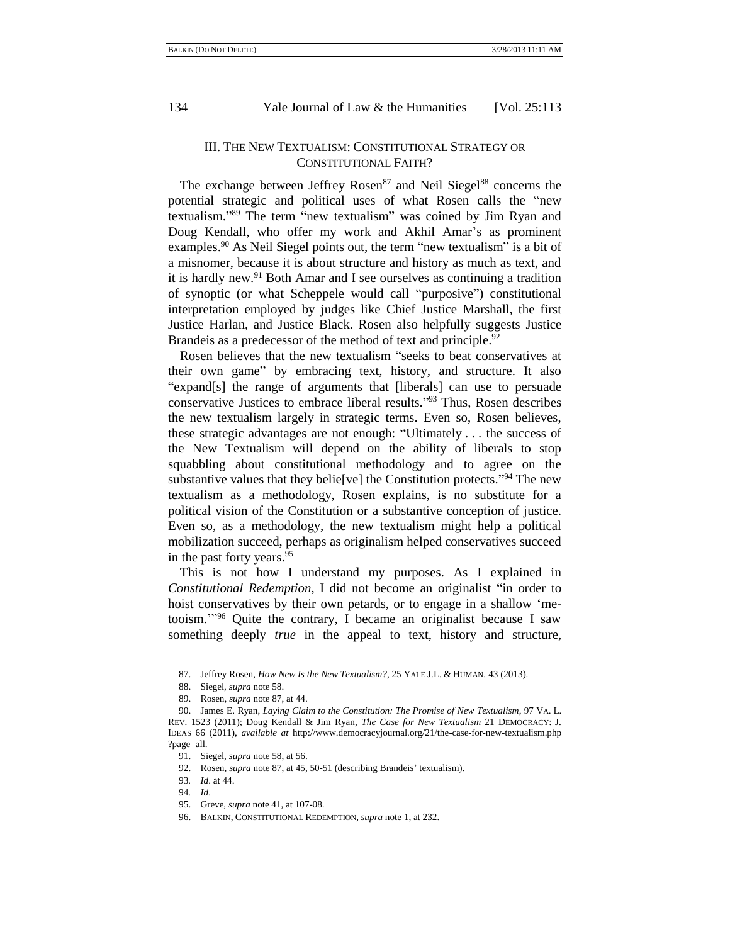## <span id="page-21-0"></span>III. THE NEW TEXTUALISM: CONSTITUTIONAL STRATEGY OR CONSTITUTIONAL FAITH?

The exchange between Jeffrey Rosen<sup>87</sup> and Neil Siegel<sup>88</sup> concerns the potential strategic and political uses of what Rosen calls the "new textualism."<sup>89</sup> The term "new textualism" was coined by Jim Ryan and Doug Kendall, who offer my work and Akhil Amar's as prominent examples.<sup>90</sup> As Neil Siegel points out, the term "new textualism" is a bit of a misnomer, because it is about structure and history as much as text, and it is hardly new. $91$  Both Amar and I see ourselves as continuing a tradition of synoptic (or what Scheppele would call "purposive") constitutional interpretation employed by judges like Chief Justice Marshall, the first Justice Harlan, and Justice Black. Rosen also helpfully suggests Justice Brandeis as a predecessor of the method of text and principle.<sup>92</sup>

Rosen believes that the new textualism "seeks to beat conservatives at their own game" by embracing text, history, and structure. It also "expand[s] the range of arguments that [liberals] can use to persuade conservative Justices to embrace liberal results."<sup>93</sup> Thus, Rosen describes the new textualism largely in strategic terms. Even so, Rosen believes, these strategic advantages are not enough: "Ultimately ... the success of the New Textualism will depend on the ability of liberals to stop squabbling about constitutional methodology and to agree on the substantive values that they belie [ve] the Constitution protects.<sup> $394$ </sup> The new textualism as a methodology, Rosen explains, is no substitute for a political vision of the Constitution or a substantive conception of justice. Even so, as a methodology, the new textualism might help a political mobilization succeed, perhaps as originalism helped conservatives succeed in the past forty years.<sup>95</sup>

This is not how I understand my purposes. As I explained in *Constitutional Redemption*, I did not become an originalist "in order to hoist conservatives by their own petards, or to engage in a shallow 'metooism."<sup>96</sup> Quite the contrary, I became an originalist because I saw something deeply *true* in the appeal to text, history and structure,

<sup>87.</sup> Jeffrey Rosen, *How New Is the New Textualism?*, 25 YALE J.L. & HUMAN. 43 (2013).

<sup>88.</sup> Siegel, *supra* not[e 58.](#page-14-0)

<sup>89.</sup> Rosen, *supra* not[e 87,](#page-21-0) at 44.

<sup>90.</sup> James E. Ryan, *Laying Claim to the Constitution: The Promise of New Textualism*, 97 VA. L. REV. 1523 (2011); Doug Kendall & Jim Ryan, *The Case for New Textualism* 21 DEMOCRACY: J. IDEAS 66 (2011), *available at* http://www.democracyjournal.org/21/the-case-for-new-textualism.php ?page=all.

<sup>91.</sup> Siegel, *supra* not[e 58,](#page-14-0) at 56.

<sup>92.</sup> Rosen, *supra* not[e 87,](#page-21-0) at 45, 50-51 (describing Brandeis' textualism).

<sup>93</sup>*. Id*. at 44.

<sup>94</sup>*. Id*.

<sup>95.</sup> Greve, *supra* not[e 41,](#page-11-0) at 107-08.

<sup>96.</sup> BALKIN, CONSTITUTIONAL REDEMPTION, *supra* not[e 1,](#page-0-0) at 232.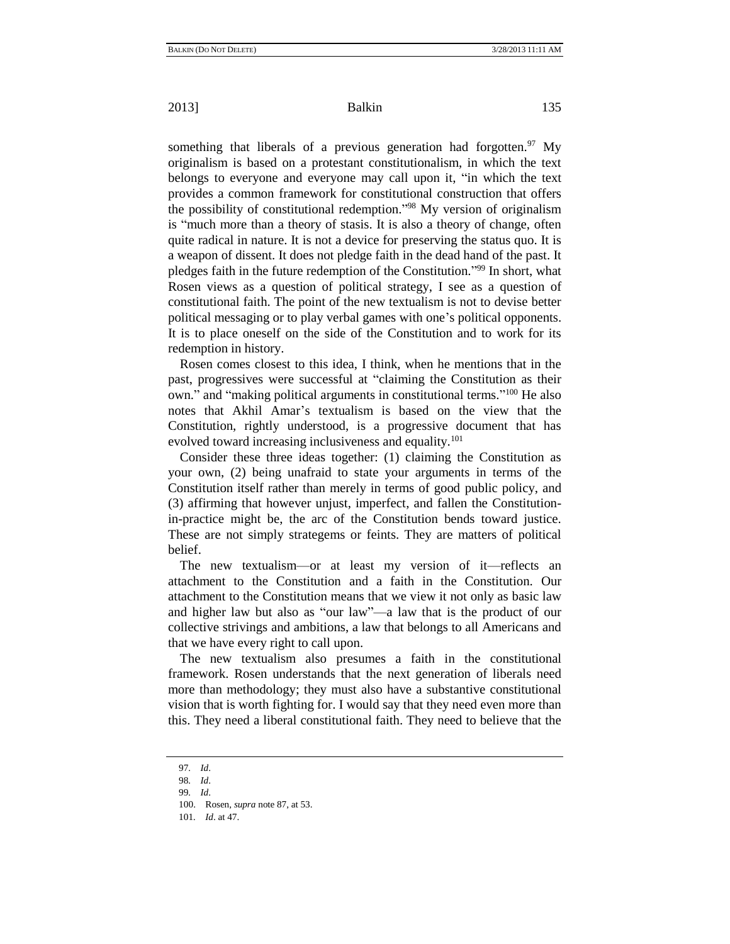something that liberals of a previous generation had forgotten.  $97$  My originalism is based on a protestant constitutionalism, in which the text belongs to everyone and everyone may call upon it, "in which the text" provides a common framework for constitutional construction that offers the possibility of constitutional redemption."<sup>98</sup> My version of originalism is "much more than a theory of stasis. It is also a theory of change, often quite radical in nature. It is not a device for preserving the status quo. It is a weapon of dissent. It does not pledge faith in the dead hand of the past. It pledges faith in the future redemption of the Constitution."<sup>99</sup> In short, what Rosen views as a question of political strategy, I see as a question of constitutional faith. The point of the new textualism is not to devise better political messaging or to play verbal games with one's political opponents. It is to place oneself on the side of the Constitution and to work for its redemption in history.

Rosen comes closest to this idea, I think, when he mentions that in the past, progressives were successful at "claiming the Constitution as their own." and "making political arguments in constitutional terms."<sup>100</sup> He also notes that Akhil Amar's textualism is based on the view that the Constitution, rightly understood, is a progressive document that has evolved toward increasing inclusiveness and equality.<sup>101</sup>

Consider these three ideas together: (1) claiming the Constitution as your own, (2) being unafraid to state your arguments in terms of the Constitution itself rather than merely in terms of good public policy, and (3) affirming that however unjust, imperfect, and fallen the Constitutionin-practice might be, the arc of the Constitution bends toward justice. These are not simply strategems or feints. They are matters of political belief.

The new textualism—or at least my version of it—reflects an attachment to the Constitution and a faith in the Constitution. Our attachment to the Constitution means that we view it not only as basic law and higher law but also as "our law"—a law that is the product of our collective strivings and ambitions, a law that belongs to all Americans and that we have every right to call upon.

The new textualism also presumes a faith in the constitutional framework. Rosen understands that the next generation of liberals need more than methodology; they must also have a substantive constitutional vision that is worth fighting for. I would say that they need even more than this. They need a liberal constitutional faith. They need to believe that the

<sup>97</sup>*. Id*.

<sup>98</sup>*. Id*.

<sup>99</sup>*. Id*.

<sup>100.</sup> Rosen, *supra* not[e 87,](#page-21-0) at 53.

<sup>101</sup>*. Id*. at 47.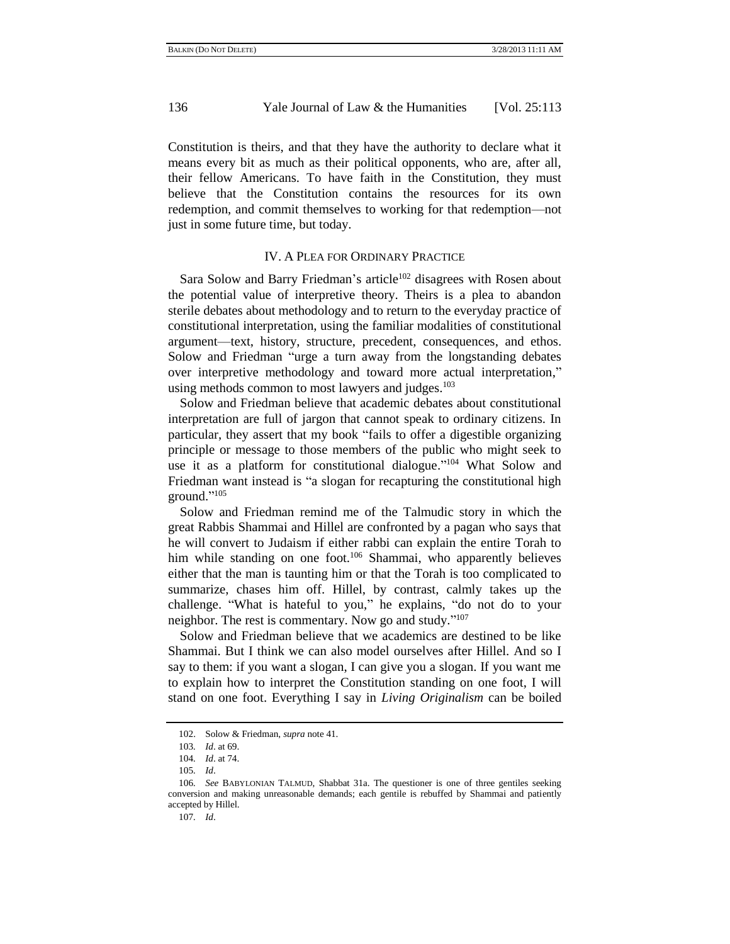Constitution is theirs, and that they have the authority to declare what it means every bit as much as their political opponents, who are, after all, their fellow Americans. To have faith in the Constitution, they must believe that the Constitution contains the resources for its own redemption, and commit themselves to working for that redemption—not just in some future time, but today.

## IV. A PLEA FOR ORDINARY PRACTICE

Sara Solow and Barry Friedman's article<sup>102</sup> disagrees with Rosen about the potential value of interpretive theory. Theirs is a plea to abandon sterile debates about methodology and to return to the everyday practice of constitutional interpretation, using the familiar modalities of constitutional argument—text, history, structure, precedent, consequences, and ethos. Solow and Friedman "urge a turn away from the longstanding debates over interpretive methodology and toward more actual interpretation," using methods common to most lawyers and judges. $103$ 

Solow and Friedman believe that academic debates about constitutional interpretation are full of jargon that cannot speak to ordinary citizens. In particular, they assert that my book "fails to offer a digestible organizing principle or message to those members of the public who might seek to use it as a platform for constitutional dialogue."<sup>104</sup> What Solow and Friedman want instead is "a slogan for recapturing the constitutional high ground."<sup>105</sup>

Solow and Friedman remind me of the Talmudic story in which the great Rabbis Shammai and Hillel are confronted by a pagan who says that he will convert to Judaism if either rabbi can explain the entire Torah to him while standing on one foot.<sup>106</sup> Shammai, who apparently believes either that the man is taunting him or that the Torah is too complicated to summarize, chases him off. Hillel, by contrast, calmly takes up the challenge. "What is hateful to you," he explains, "do not do to your neighbor. The rest is commentary. Now go and study."<sup>107</sup>

Solow and Friedman believe that we academics are destined to be like Shammai. But I think we can also model ourselves after Hillel. And so I say to them: if you want a slogan, I can give you a slogan. If you want me to explain how to interpret the Constitution standing on one foot, I will stand on one foot. Everything I say in *Living Originalism* can be boiled

<sup>102.</sup> Solow & Friedman, *supra* note [41.](#page-11-0)

<sup>103</sup>*. Id*. at 69.

<sup>104</sup>*. Id*. at 74.

<sup>105</sup>*. Id*.

<sup>106</sup>*. See* BABYLONIAN TALMUD, Shabbat 31a. The questioner is one of three gentiles seeking conversion and making unreasonable demands; each gentile is rebuffed by Shammai and patiently accepted by Hillel.

<sup>107</sup>*. Id*.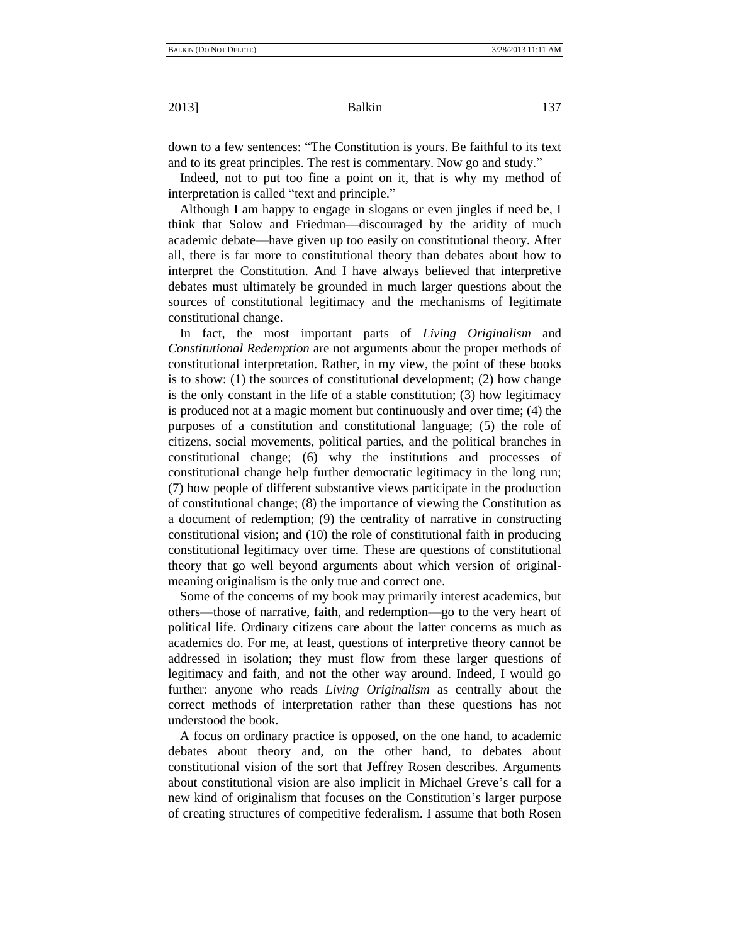down to a few sentences: "The Constitution is yours. Be faithful to its text and to its great principles. The rest is commentary. Now go and study."

Indeed, not to put too fine a point on it, that is why my method of interpretation is called "text and principle."

Although I am happy to engage in slogans or even jingles if need be, I think that Solow and Friedman—discouraged by the aridity of much academic debate—have given up too easily on constitutional theory. After all, there is far more to constitutional theory than debates about how to interpret the Constitution. And I have always believed that interpretive debates must ultimately be grounded in much larger questions about the sources of constitutional legitimacy and the mechanisms of legitimate constitutional change.

In fact, the most important parts of *Living Originalism* and *Constitutional Redemption* are not arguments about the proper methods of constitutional interpretation. Rather, in my view, the point of these books is to show: (1) the sources of constitutional development; (2) how change is the only constant in the life of a stable constitution; (3) how legitimacy is produced not at a magic moment but continuously and over time; (4) the purposes of a constitution and constitutional language; (5) the role of citizens, social movements, political parties, and the political branches in constitutional change; (6) why the institutions and processes of constitutional change help further democratic legitimacy in the long run; (7) how people of different substantive views participate in the production of constitutional change; (8) the importance of viewing the Constitution as a document of redemption; (9) the centrality of narrative in constructing constitutional vision; and (10) the role of constitutional faith in producing constitutional legitimacy over time. These are questions of constitutional theory that go well beyond arguments about which version of originalmeaning originalism is the only true and correct one.

Some of the concerns of my book may primarily interest academics, but others—those of narrative, faith, and redemption—go to the very heart of political life. Ordinary citizens care about the latter concerns as much as academics do. For me, at least, questions of interpretive theory cannot be addressed in isolation; they must flow from these larger questions of legitimacy and faith, and not the other way around. Indeed, I would go further: anyone who reads *Living Originalism* as centrally about the correct methods of interpretation rather than these questions has not understood the book.

A focus on ordinary practice is opposed, on the one hand, to academic debates about theory and, on the other hand, to debates about constitutional vision of the sort that Jeffrey Rosen describes. Arguments about constitutional vision are also implicit in Michael Greve's call for a new kind of originalism that focuses on the Constitution's larger purpose of creating structures of competitive federalism. I assume that both Rosen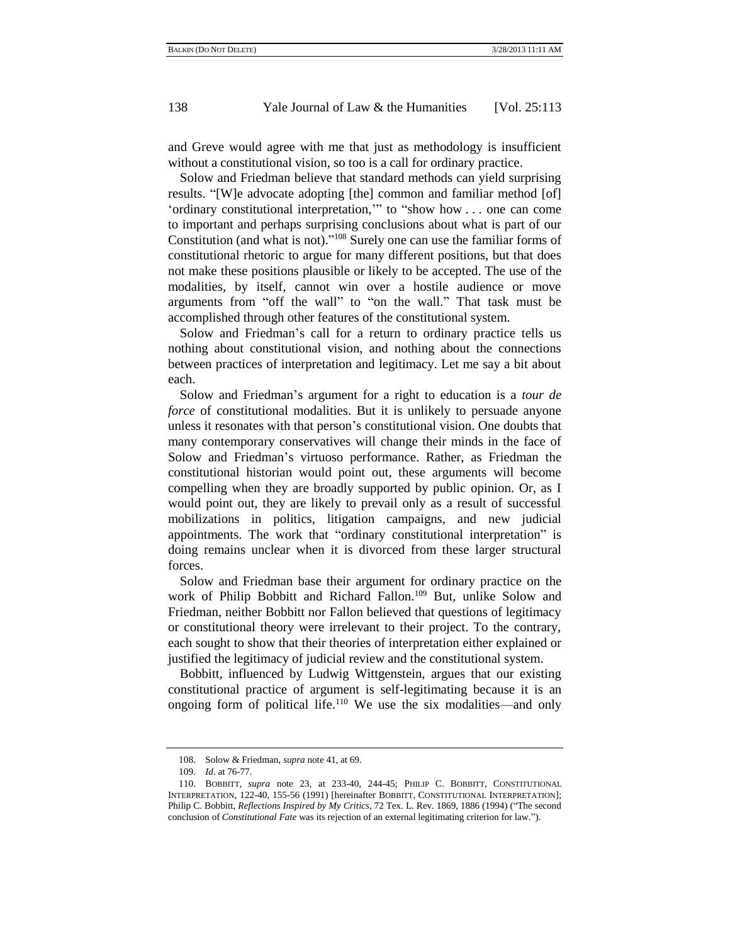and Greve would agree with me that just as methodology is insufficient without a constitutional vision, so too is a call for ordinary practice.

Solow and Friedman believe that standard methods can yield surprising results. "[W]e advocate adopting [the] common and familiar method [of] 'ordinary constitutional interpretation," to "show how . . . one can come to important and perhaps surprising conclusions about what is part of our Constitution (and what is not).<sup> $108$ </sup> Surely one can use the familiar forms of constitutional rhetoric to argue for many different positions, but that does not make these positions plausible or likely to be accepted. The use of the modalities, by itself, cannot win over a hostile audience or move arguments from "off the wall" to "on the wall." That task must be accomplished through other features of the constitutional system.

Solow and Friedman's call for a return to ordinary practice tells us nothing about constitutional vision, and nothing about the connections between practices of interpretation and legitimacy. Let me say a bit about each.

Solow and Friedman's argument for a right to education is a *tour de force* of constitutional modalities. But it is unlikely to persuade anyone unless it resonates with that person's constitutional vision. One doubts that many contemporary conservatives will change their minds in the face of Solow and Friedman's virtuoso performance. Rather, as Friedman the constitutional historian would point out, these arguments will become compelling when they are broadly supported by public opinion. Or, as I would point out, they are likely to prevail only as a result of successful mobilizations in politics, litigation campaigns, and new judicial appointments. The work that "ordinary constitutional interpretation" is doing remains unclear when it is divorced from these larger structural forces.

Solow and Friedman base their argument for ordinary practice on the work of Philip Bobbitt and Richard Fallon.<sup>109</sup> But, unlike Solow and Friedman, neither Bobbitt nor Fallon believed that questions of legitimacy or constitutional theory were irrelevant to their project. To the contrary, each sought to show that their theories of interpretation either explained or justified the legitimacy of judicial review and the constitutional system.

Bobbitt, influenced by Ludwig Wittgenstein, argues that our existing constitutional practice of argument is self-legitimating because it is an ongoing form of political life.<sup>110</sup> We use the six modalities—and only

<span id="page-25-0"></span><sup>108.</sup> Solow & Friedman, *supra* note [41,](#page-11-0) at 69.

<sup>109</sup>*. Id*. at 76-77.

<sup>110.</sup> BOBBITT, *supra* note [23,](#page-6-0) at 233-40, 244-45; PHILIP C. BOBBITT, CONSTITUTIONAL INTERPRETATION, 122-40, 155-56 (1991) [hereinafter BOBBITT, CONSTITUTIONAL INTERPRETATION]; Philip C. Bobbitt, *Reflections Inspired by My Critics*, 72 Tex. L. Rev. 1869, 1886 (1994) ("The second conclusion of *Constitutional Fate* was its rejection of an external legitimating criterion for law.").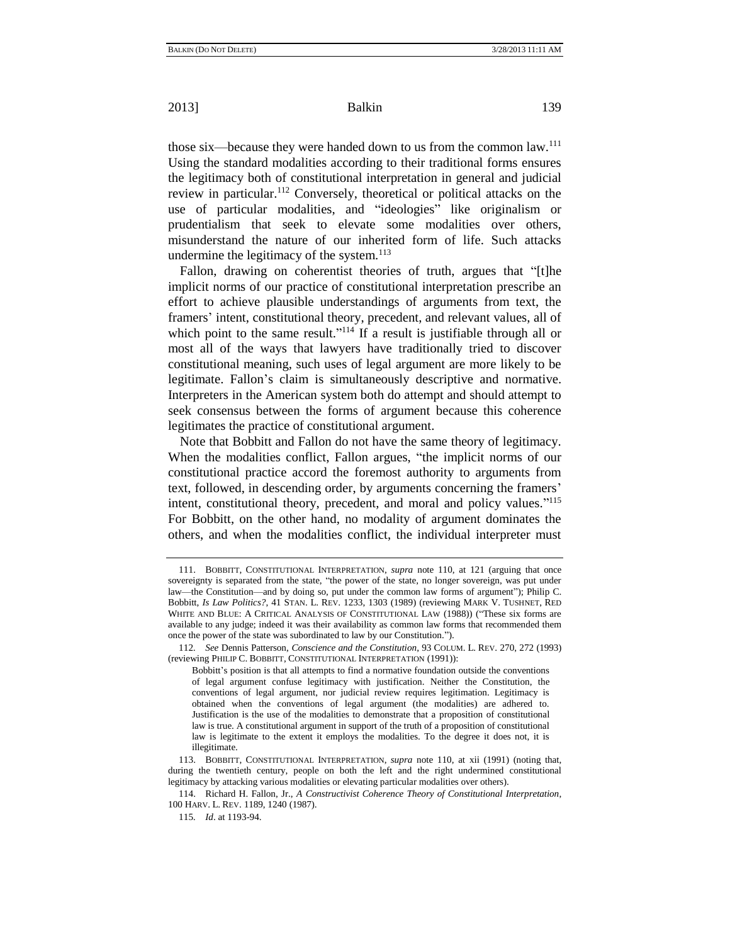those six—because they were handed down to us from the common law.<sup>111</sup> Using the standard modalities according to their traditional forms ensures the legitimacy both of constitutional interpretation in general and judicial review in particular.<sup>112</sup> Conversely, theoretical or political attacks on the use of particular modalities, and "ideologies" like originalism or prudentialism that seek to elevate some modalities over others, misunderstand the nature of our inherited form of life. Such attacks undermine the legitimacy of the system.<sup>113</sup>

Fallon, drawing on coherentist theories of truth, argues that "[t]he implicit norms of our practice of constitutional interpretation prescribe an effort to achieve plausible understandings of arguments from text, the framers' intent, constitutional theory, precedent, and relevant values, all of which point to the same result."<sup>114</sup> If a result is justifiable through all or most all of the ways that lawyers have traditionally tried to discover constitutional meaning, such uses of legal argument are more likely to be legitimate. Fallon's claim is simultaneously descriptive and normative. Interpreters in the American system both do attempt and should attempt to seek consensus between the forms of argument because this coherence legitimates the practice of constitutional argument.

Note that Bobbitt and Fallon do not have the same theory of legitimacy. When the modalities conflict, Fallon argues, "the implicit norms of our constitutional practice accord the foremost authority to arguments from text, followed, in descending order, by arguments concerning the framers' intent, constitutional theory, precedent, and moral and policy values."<sup>115</sup> For Bobbitt, on the other hand, no modality of argument dominates the others, and when the modalities conflict, the individual interpreter must

<sup>111.</sup> BOBBITT, CONSTITUTIONAL INTERPRETATION, *supra* note [110,](#page-25-0) at 121 (arguing that once sovereignty is separated from the state, "the power of the state, no longer sovereign, was put under law—the Constitution—and by doing so, put under the common law forms of argument"); Philip C. Bobbitt, *Is Law Politics?*, 41 STAN. L. REV. 1233, 1303 (1989) (reviewing MARK V. TUSHNET, RED WHITE AND BLUE: A CRITICAL ANALYSIS OF CONSTITUTIONAL LAW (1988)) ("These six forms are available to any judge; indeed it was their availability as common law forms that recommended them once the power of the state was subordinated to law by our Constitution.").

<sup>112</sup>*. See* Dennis Patterson, *Conscience and the Constitution*, 93 COLUM. L. REV. 270, 272 (1993) (reviewing PHILIP C. BOBBITT, CONSTITUTIONAL INTERPRETATION (1991)):

Bobbitt's position is that all attempts to find a normative foundation outside the conventions of legal argument confuse legitimacy with justification. Neither the Constitution, the conventions of legal argument, nor judicial review requires legitimation. Legitimacy is obtained when the conventions of legal argument (the modalities) are adhered to. Justification is the use of the modalities to demonstrate that a proposition of constitutional law is true. A constitutional argument in support of the truth of a proposition of constitutional law is legitimate to the extent it employs the modalities. To the degree it does not, it is illegitimate.

<sup>113.</sup> BOBBITT, CONSTITUTIONAL INTERPRETATION, *supra* note [110,](#page-25-0) at xii (1991) (noting that, during the twentieth century, people on both the left and the right undermined constitutional legitimacy by attacking various modalities or elevating particular modalities over others).

<sup>114.</sup> Richard H. Fallon, Jr., *A Constructivist Coherence Theory of Constitutional Interpretation*, 100 HARV. L. REV. 1189, 1240 (1987).

<sup>115</sup>*. Id*. at 1193-94.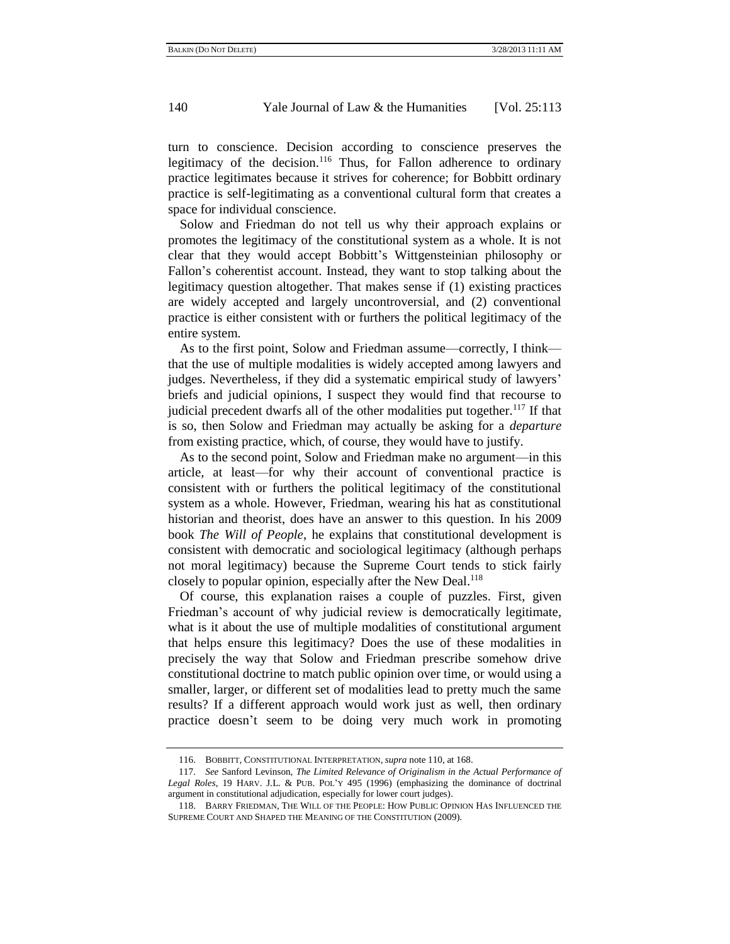turn to conscience. Decision according to conscience preserves the legitimacy of the decision.<sup>116</sup> Thus, for Fallon adherence to ordinary practice legitimates because it strives for coherence; for Bobbitt ordinary practice is self-legitimating as a conventional cultural form that creates a space for individual conscience.

Solow and Friedman do not tell us why their approach explains or promotes the legitimacy of the constitutional system as a whole. It is not clear that they would accept Bobbitt's Wittgensteinian philosophy or Fallon's coherentist account. Instead, they want to stop talking about the legitimacy question altogether. That makes sense if (1) existing practices are widely accepted and largely uncontroversial, and (2) conventional practice is either consistent with or furthers the political legitimacy of the entire system.

As to the first point, Solow and Friedman assume—correctly, I think that the use of multiple modalities is widely accepted among lawyers and judges. Nevertheless, if they did a systematic empirical study of lawyers' briefs and judicial opinions, I suspect they would find that recourse to judicial precedent dwarfs all of the other modalities put together.<sup>117</sup> If that is so, then Solow and Friedman may actually be asking for a *departure* from existing practice, which, of course, they would have to justify.

As to the second point, Solow and Friedman make no argument—in this article, at least—for why their account of conventional practice is consistent with or furthers the political legitimacy of the constitutional system as a whole. However, Friedman, wearing his hat as constitutional historian and theorist, does have an answer to this question. In his 2009 book *The Will of People*, he explains that constitutional development is consistent with democratic and sociological legitimacy (although perhaps not moral legitimacy) because the Supreme Court tends to stick fairly closely to popular opinion, especially after the New Deal.<sup>118</sup>

Of course, this explanation raises a couple of puzzles. First, given Friedman's account of why judicial review is democratically legitimate, what is it about the use of multiple modalities of constitutional argument that helps ensure this legitimacy? Does the use of these modalities in precisely the way that Solow and Friedman prescribe somehow drive constitutional doctrine to match public opinion over time, or would using a smaller, larger, or different set of modalities lead to pretty much the same results? If a different approach would work just as well, then ordinary practice doesn't seem to be doing very much work in promoting

<sup>116.</sup> BOBBITT, CONSTITUTIONAL INTERPRETATION, *supra* not[e 110,](#page-25-0) at 168.

<sup>117.</sup> *See* Sanford Levinson, *The Limited Relevance of Originalism in the Actual Performance of Legal Roles*, 19 HARV. J.L. & PUB. POL'Y 495 (1996) (emphasizing the dominance of doctrinal argument in constitutional adjudication, especially for lower court judges).

<sup>118.</sup> BARRY FRIEDMAN, THE WILL OF THE PEOPLE: HOW PUBLIC OPINION HAS INFLUENCED THE SUPREME COURT AND SHAPED THE MEANING OF THE CONSTITUTION (2009).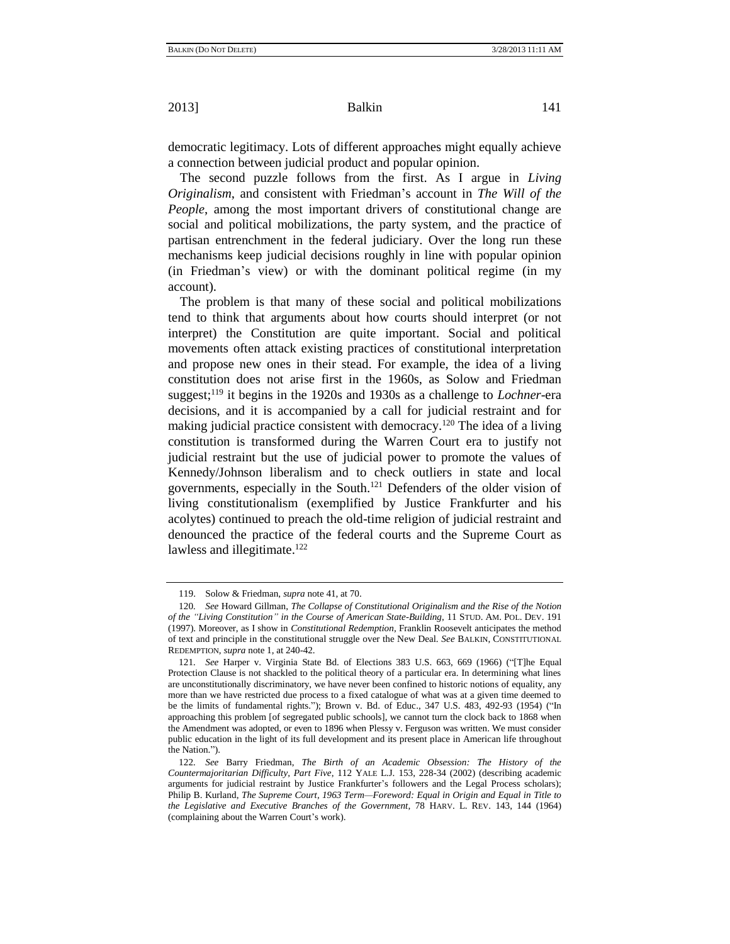democratic legitimacy. Lots of different approaches might equally achieve a connection between judicial product and popular opinion.

The second puzzle follows from the first. As I argue in *Living Originalism*, and consistent with Friedman's account in *The Will of the People*, among the most important drivers of constitutional change are social and political mobilizations, the party system, and the practice of partisan entrenchment in the federal judiciary. Over the long run these mechanisms keep judicial decisions roughly in line with popular opinion (in Friedman's view) or with the dominant political regime (in my account).

The problem is that many of these social and political mobilizations tend to think that arguments about how courts should interpret (or not interpret) the Constitution are quite important. Social and political movements often attack existing practices of constitutional interpretation and propose new ones in their stead. For example, the idea of a living constitution does not arise first in the 1960s, as Solow and Friedman suggest;<sup>119</sup> it begins in the 1920s and 1930s as a challenge to *Lochner*-era decisions, and it is accompanied by a call for judicial restraint and for making judicial practice consistent with democracy.<sup>120</sup> The idea of a living constitution is transformed during the Warren Court era to justify not judicial restraint but the use of judicial power to promote the values of Kennedy/Johnson liberalism and to check outliers in state and local governments, especially in the South.<sup>121</sup> Defenders of the older vision of living constitutionalism (exemplified by Justice Frankfurter and his acolytes) continued to preach the old-time religion of judicial restraint and denounced the practice of the federal courts and the Supreme Court as lawless and illegitimate.<sup>122</sup>

<sup>119.</sup> Solow & Friedman, *supra* not[e 41,](#page-11-0) at 70.

<sup>120</sup>*. See* Howard Gillman, *The Collapse of Constitutional Originalism and the Rise of the Notion of the "Living Constitution" in the Course of American State-Building*, 11 STUD. AM. POL. DEV. 191 (1997). Moreover, as I show in *Constitutional Redemption*, Franklin Roosevelt anticipates the method of text and principle in the constitutional struggle over the New Deal. *See* BALKIN, CONSTITUTIONAL REDEMPTION, *supra* not[e 1,](#page-0-0) at 240-42.

<sup>121.</sup> *See* Harper v. Virginia State Bd. of Elections 383 U.S. 663, 669 (1966) ("[T]he Equal Protection Clause is not shackled to the political theory of a particular era. In determining what lines are unconstitutionally discriminatory, we have never been confined to historic notions of equality, any more than we have restricted due process to a fixed catalogue of what was at a given time deemed to be the limits of fundamental rights."); Brown v. Bd. of Educ., 347 U.S. 483, 492-93 (1954) ("In approaching this problem [of segregated public schools], we cannot turn the clock back to 1868 when the Amendment was adopted, or even to 1896 when Plessy v. Ferguson was written. We must consider public education in the light of its full development and its present place in American life throughout the Nation.").

<sup>122</sup>*. See* Barry Friedman, *The Birth of an Academic Obsession: The History of the Countermajoritarian Difficulty, Part Five*, 112 YALE L.J. 153, 228-34 (2002) (describing academic arguments for judicial restraint by Justice Frankfurter's followers and the Legal Process scholars); Philip B. Kurland, *The Supreme Court, 1963 Term—Foreword: Equal in Origin and Equal in Title to the Legislative and Executive Branches of the Government*, 78 HARV. L. REV. 143, 144 (1964) (complaining about the Warren Court's work).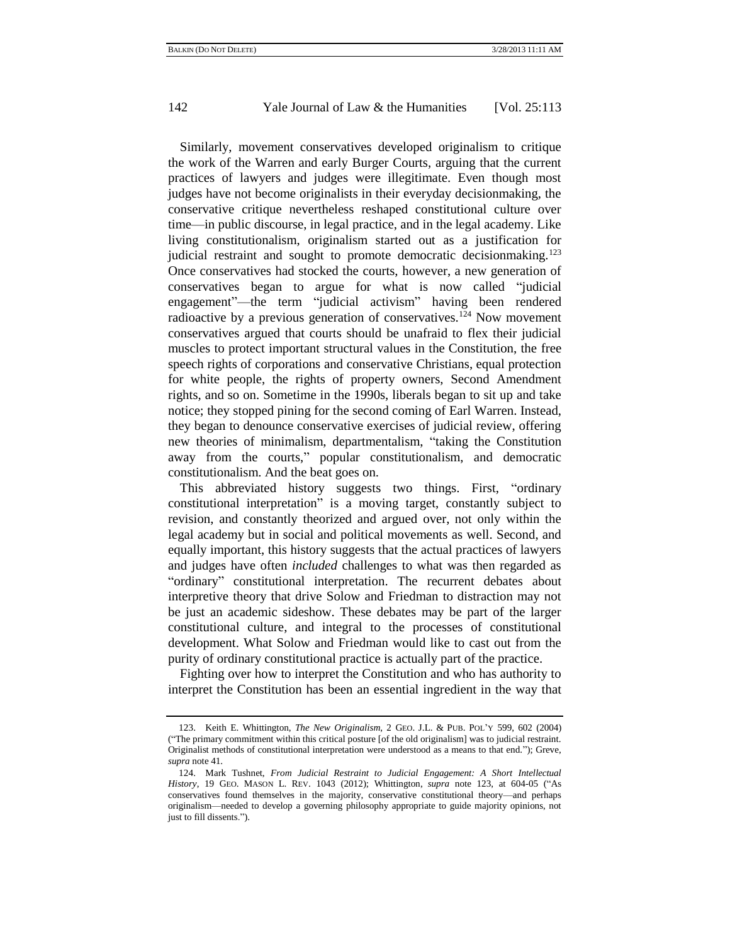<span id="page-29-0"></span>Similarly, movement conservatives developed originalism to critique the work of the Warren and early Burger Courts, arguing that the current practices of lawyers and judges were illegitimate. Even though most judges have not become originalists in their everyday decisionmaking, the conservative critique nevertheless reshaped constitutional culture over time—in public discourse, in legal practice, and in the legal academy. Like living constitutionalism, originalism started out as a justification for judicial restraint and sought to promote democratic decisionmaking.<sup>123</sup> Once conservatives had stocked the courts, however, a new generation of conservatives began to argue for what is now called "judicial" engagement"—the term "judicial activism" having been rendered radioactive by a previous generation of conservatives.<sup>124</sup> Now movement conservatives argued that courts should be unafraid to flex their judicial muscles to protect important structural values in the Constitution, the free speech rights of corporations and conservative Christians, equal protection for white people, the rights of property owners, Second Amendment rights, and so on. Sometime in the 1990s, liberals began to sit up and take notice; they stopped pining for the second coming of Earl Warren. Instead, they began to denounce conservative exercises of judicial review, offering new theories of minimalism, departmentalism, "taking the Constitution away from the courts," popular constitutionalism, and democratic constitutionalism. And the beat goes on.

This abbreviated history suggests two things. First, "ordinary constitutional interpretation" is a moving target, constantly subject to revision, and constantly theorized and argued over, not only within the legal academy but in social and political movements as well. Second, and equally important, this history suggests that the actual practices of lawyers and judges have often *included* challenges to what was then regarded as "ordinary" constitutional interpretation. The recurrent debates about interpretive theory that drive Solow and Friedman to distraction may not be just an academic sideshow. These debates may be part of the larger constitutional culture, and integral to the processes of constitutional development. What Solow and Friedman would like to cast out from the purity of ordinary constitutional practice is actually part of the practice.

Fighting over how to interpret the Constitution and who has authority to interpret the Constitution has been an essential ingredient in the way that

<sup>123.</sup> Keith E. Whittington, *The New Originalism*, 2 GEO. J.L. & PUB. POL'Y 599, 602 (2004) (―The primary commitment within this critical posture [of the old originalism] was to judicial restraint. Originalist methods of constitutional interpretation were understood as a means to that end."); Greve, *supra* not[e 41.](#page-11-0)

<sup>124.</sup> Mark Tushnet, *From Judicial Restraint to Judicial Engagement: A Short Intellectual History*, 19 GEO. MASON L. REV. 1043 (2012); Whittington, *supra* note [123,](#page-29-0) at 604-05 ("As conservatives found themselves in the majority, conservative constitutional theory—and perhaps originalism—needed to develop a governing philosophy appropriate to guide majority opinions, not just to fill dissents.").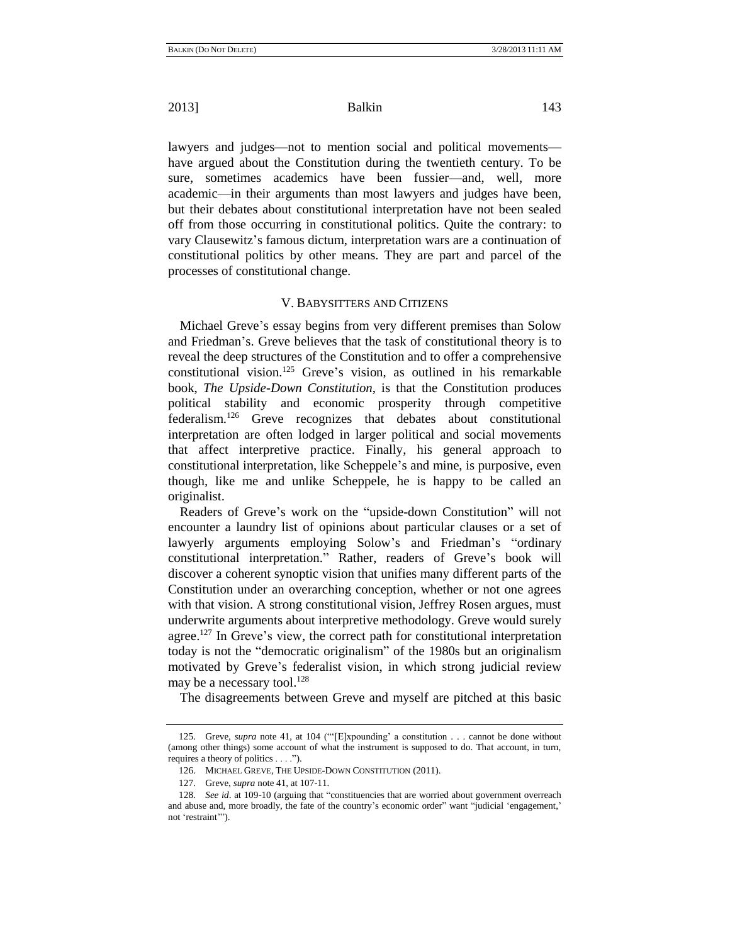lawyers and judges—not to mention social and political movements have argued about the Constitution during the twentieth century. To be sure, sometimes academics have been fussier—and, well, more academic—in their arguments than most lawyers and judges have been, but their debates about constitutional interpretation have not been sealed off from those occurring in constitutional politics. Quite the contrary: to vary Clausewitz's famous dictum, interpretation wars are a continuation of constitutional politics by other means. They are part and parcel of the processes of constitutional change.

#### V. BABYSITTERS AND CITIZENS

Michael Greve's essay begins from very different premises than Solow and Friedman's. Greve believes that the task of constitutional theory is to reveal the deep structures of the Constitution and to offer a comprehensive constitutional vision.<sup>125</sup> Greve's vision, as outlined in his remarkable book, *The Upside-Down Constitution*, is that the Constitution produces political stability and economic prosperity through competitive federalism.<sup>126</sup> Greve recognizes that debates about constitutional interpretation are often lodged in larger political and social movements that affect interpretive practice. Finally, his general approach to constitutional interpretation, like Scheppele's and mine, is purposive, even though, like me and unlike Scheppele, he is happy to be called an originalist.

Readers of Greve's work on the "upside-down Constitution" will not encounter a laundry list of opinions about particular clauses or a set of lawyerly arguments employing Solow's and Friedman's "ordinary constitutional interpretation." Rather, readers of Greve's book will discover a coherent synoptic vision that unifies many different parts of the Constitution under an overarching conception, whether or not one agrees with that vision. A strong constitutional vision, Jeffrey Rosen argues, must underwrite arguments about interpretive methodology. Greve would surely agree.<sup>127</sup> In Greve's view, the correct path for constitutional interpretation today is not the "democratic originalism" of the 1980s but an originalism motivated by Greve's federalist vision, in which strong judicial review may be a necessary tool.<sup>128</sup>

The disagreements between Greve and myself are pitched at this basic

<sup>125.</sup> Greve, *supra* not[e 41,](#page-11-0) at 104 ("[E]xpounding' a constitution . . . cannot be done without (among other things) some account of what the instrument is supposed to do. That account, in turn, requires a theory of politics  $\dots$ .").

<sup>126.</sup> MICHAEL GREVE, THE UPSIDE-DOWN CONSTITUTION (2011).

<sup>127.</sup> Greve, *supra* note [41,](#page-11-0) at 107-11.

<sup>128.</sup> *See id.* at 109-10 (arguing that "constituencies that are worried about government overreach and abuse and, more broadly, the fate of the country's economic order" want "judicial 'engagement,' not 'restraint'").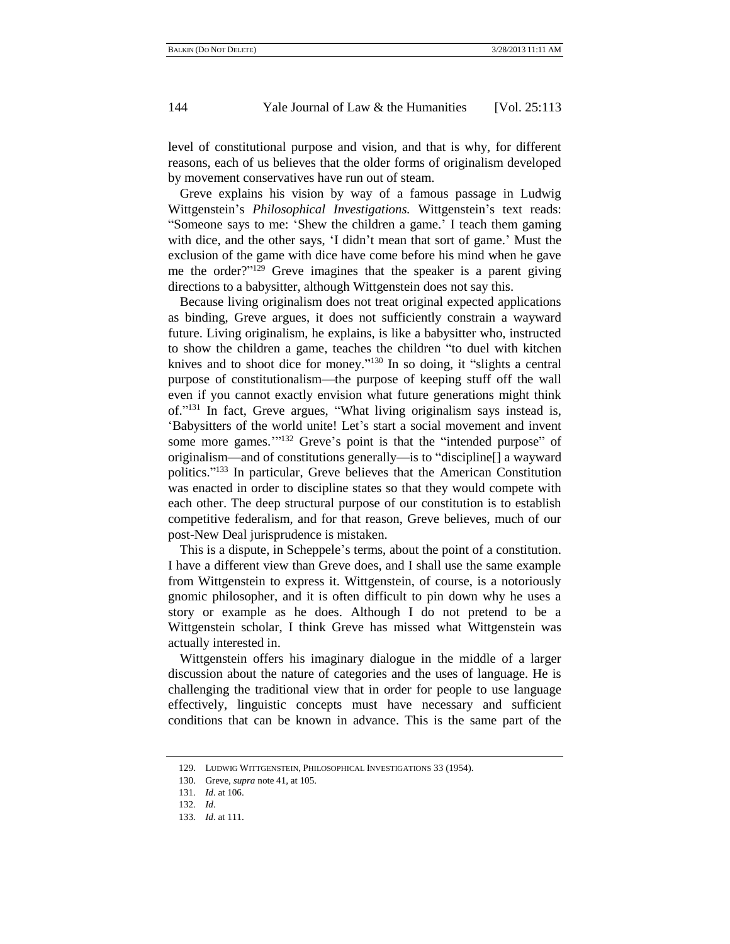level of constitutional purpose and vision, and that is why, for different reasons, each of us believes that the older forms of originalism developed by movement conservatives have run out of steam.

Greve explains his vision by way of a famous passage in Ludwig Wittgenstein's *Philosophical Investigations.* Wittgenstein's text reads: ―Someone says to me: ‗Shew the children a game.' I teach them gaming with dice, and the other says, 'I didn't mean that sort of game.' Must the exclusion of the game with dice have come before his mind when he gave me the order?" $129$  Greve imagines that the speaker is a parent giving directions to a babysitter, although Wittgenstein does not say this.

<span id="page-31-0"></span>Because living originalism does not treat original expected applications as binding, Greve argues, it does not sufficiently constrain a wayward future. Living originalism, he explains, is like a babysitter who, instructed to show the children a game, teaches the children "to duel with kitchen knives and to shoot dice for money." $130$  In so doing, it "slights a central purpose of constitutionalism—the purpose of keeping stuff off the wall even if you cannot exactly envision what future generations might think of."<sup>131</sup> In fact, Greve argues, "What living originalism says instead is, ‗Babysitters of the world unite! Let's start a social movement and invent some more games."<sup>132</sup> Greve's point is that the "intended purpose" of originalism—and of constitutions generally—is to "discipline[] a wayward politics."<sup>133</sup> In particular, Greve believes that the American Constitution was enacted in order to discipline states so that they would compete with each other. The deep structural purpose of our constitution is to establish competitive federalism, and for that reason, Greve believes, much of our post-New Deal jurisprudence is mistaken.

This is a dispute, in Scheppele's terms, about the point of a constitution. I have a different view than Greve does, and I shall use the same example from Wittgenstein to express it. Wittgenstein, of course, is a notoriously gnomic philosopher, and it is often difficult to pin down why he uses a story or example as he does. Although I do not pretend to be a Wittgenstein scholar, I think Greve has missed what Wittgenstein was actually interested in.

Wittgenstein offers his imaginary dialogue in the middle of a larger discussion about the nature of categories and the uses of language. He is challenging the traditional view that in order for people to use language effectively, linguistic concepts must have necessary and sufficient conditions that can be known in advance. This is the same part of the

<sup>129.</sup> LUDWIG WITTGENSTEIN, PHILOSOPHICAL INVESTIGATIONS 33 (1954).

<sup>130.</sup> Greve, *supra* note [41,](#page-11-0) at 105.

<sup>131</sup>*. Id*. at 106.

<sup>132</sup>*. Id*.

<sup>133</sup>*. Id*. at 111.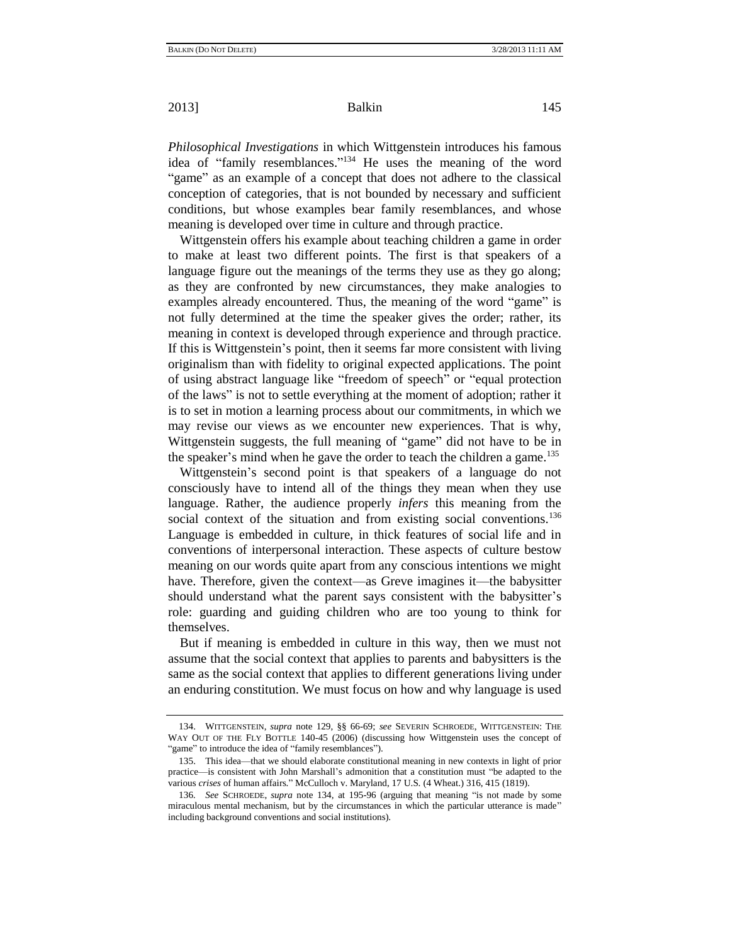<span id="page-32-0"></span>*Philosophical Investigations* in which Wittgenstein introduces his famous idea of "family resemblances."<sup>134</sup> He uses the meaning of the word "game" as an example of a concept that does not adhere to the classical conception of categories, that is not bounded by necessary and sufficient conditions, but whose examples bear family resemblances, and whose meaning is developed over time in culture and through practice.

Wittgenstein offers his example about teaching children a game in order to make at least two different points. The first is that speakers of a language figure out the meanings of the terms they use as they go along; as they are confronted by new circumstances, they make analogies to examples already encountered. Thus, the meaning of the word "game" is not fully determined at the time the speaker gives the order; rather, its meaning in context is developed through experience and through practice. If this is Wittgenstein's point, then it seems far more consistent with living originalism than with fidelity to original expected applications. The point of using abstract language like "freedom of speech" or "equal protection of the laws" is not to settle everything at the moment of adoption; rather it is to set in motion a learning process about our commitments, in which we may revise our views as we encounter new experiences. That is why, Wittgenstein suggests, the full meaning of "game" did not have to be in the speaker's mind when he gave the order to teach the children a game.<sup>135</sup>

Wittgenstein's second point is that speakers of a language do not consciously have to intend all of the things they mean when they use language. Rather, the audience properly *infers* this meaning from the social context of the situation and from existing social conventions.<sup>136</sup> Language is embedded in culture, in thick features of social life and in conventions of interpersonal interaction. These aspects of culture bestow meaning on our words quite apart from any conscious intentions we might have. Therefore, given the context—as Greve imagines it—the babysitter should understand what the parent says consistent with the babysitter's role: guarding and guiding children who are too young to think for themselves.

But if meaning is embedded in culture in this way, then we must not assume that the social context that applies to parents and babysitters is the same as the social context that applies to different generations living under an enduring constitution. We must focus on how and why language is used

<sup>134.</sup> WITTGENSTEIN, *supra* note [129,](#page-31-0) §§ 66-69; *see* SEVERIN SCHROEDE, WITTGENSTEIN: THE WAY OUT OF THE FLY BOTTLE 140-45 (2006) (discussing how Wittgenstein uses the concept of "game" to introduce the idea of "family resemblances").

<sup>135.</sup> This idea—that we should elaborate constitutional meaning in new contexts in light of prior practice—is consistent with John Marshall's admonition that a constitution must "be adapted to the various *crises* of human affairs.‖ McCulloch v. Maryland, 17 U.S. (4 Wheat.) 316, 415 (1819).

<sup>136</sup>*. See* SCHROEDE, *supra* note [134,](#page-32-0) at 195-96 (arguing that meaning "is not made by some miraculous mental mechanism, but by the circumstances in which the particular utterance is made" including background conventions and social institutions).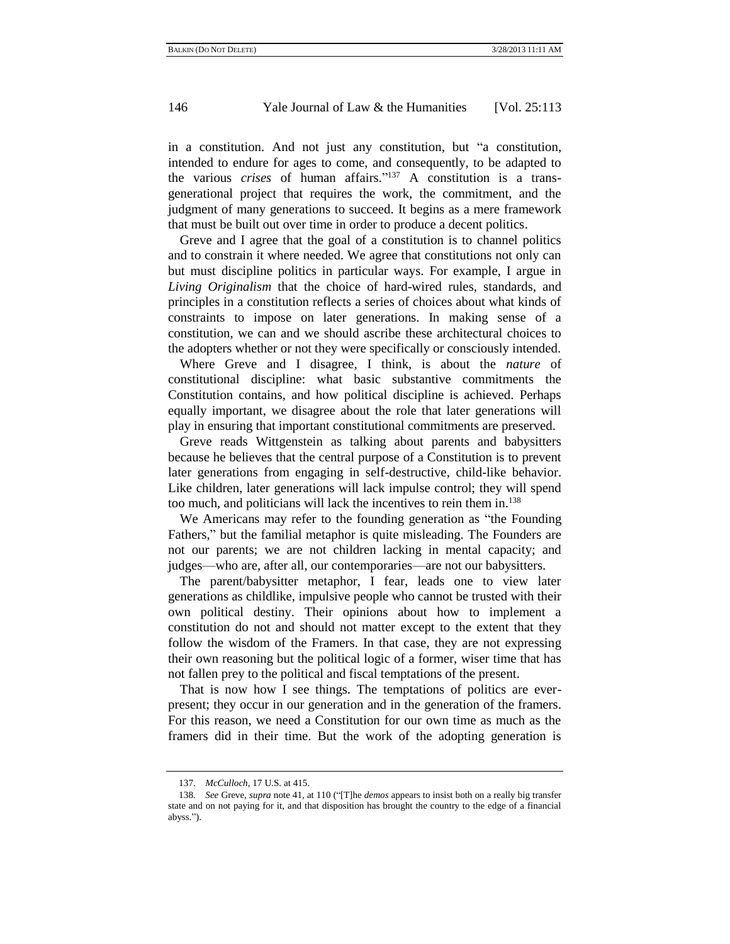in a constitution. And not just any constitution, but "a constitution, intended to endure for ages to come, and consequently, to be adapted to the various *crises* of human affairs."<sup>137</sup> A constitution is a transgenerational project that requires the work, the commitment, and the judgment of many generations to succeed. It begins as a mere framework that must be built out over time in order to produce a decent politics.

Greve and I agree that the goal of a constitution is to channel politics and to constrain it where needed. We agree that constitutions not only can but must discipline politics in particular ways. For example, I argue in *Living Originalism* that the choice of hard-wired rules, standards, and principles in a constitution reflects a series of choices about what kinds of constraints to impose on later generations. In making sense of a constitution, we can and we should ascribe these architectural choices to the adopters whether or not they were specifically or consciously intended.

Where Greve and I disagree, I think, is about the *nature* of constitutional discipline: what basic substantive commitments the Constitution contains, and how political discipline is achieved. Perhaps equally important, we disagree about the role that later generations will play in ensuring that important constitutional commitments are preserved.

Greve reads Wittgenstein as talking about parents and babysitters because he believes that the central purpose of a Constitution is to prevent later generations from engaging in self-destructive, child-like behavior. Like children, later generations will lack impulse control; they will spend too much, and politicians will lack the incentives to rein them in.<sup>138</sup>

We Americans may refer to the founding generation as "the Founding" Fathers," but the familial metaphor is quite misleading. The Founders are not our parents; we are not children lacking in mental capacity; and judges—who are, after all, our contemporaries—are not our babysitters.

The parent/babysitter metaphor, I fear, leads one to view later generations as childlike, impulsive people who cannot be trusted with their own political destiny. Their opinions about how to implement a constitution do not and should not matter except to the extent that they follow the wisdom of the Framers. In that case, they are not expressing their own reasoning but the political logic of a former, wiser time that has not fallen prey to the political and fiscal temptations of the present.

That is now how I see things. The temptations of politics are everpresent; they occur in our generation and in the generation of the framers. For this reason, we need a Constitution for our own time as much as the framers did in their time. But the work of the adopting generation is

<sup>137.</sup> *McCulloch*, 17 U.S. at 415.

<sup>138.</sup> *See* Greve, *supra* note [41,](#page-11-0) at 110 ("[T]he *demos* appears to insist both on a really big transfer state and on not paying for it, and that disposition has brought the country to the edge of a financial abyss.").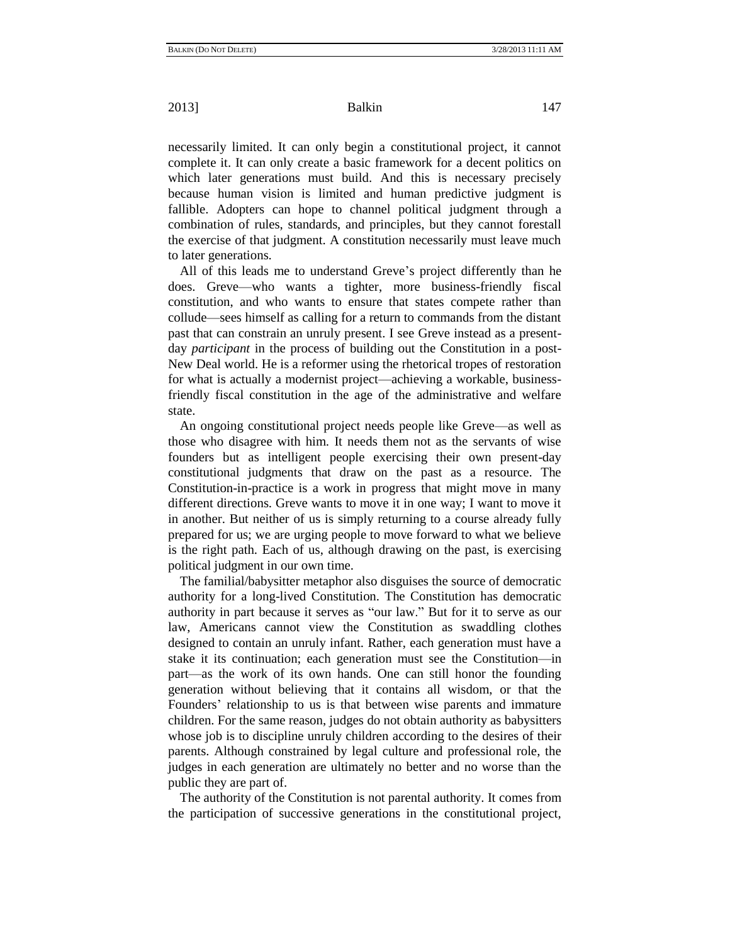necessarily limited. It can only begin a constitutional project, it cannot complete it. It can only create a basic framework for a decent politics on which later generations must build. And this is necessary precisely because human vision is limited and human predictive judgment is fallible. Adopters can hope to channel political judgment through a combination of rules, standards, and principles, but they cannot forestall the exercise of that judgment. A constitution necessarily must leave much to later generations.

All of this leads me to understand Greve's project differently than he does. Greve—who wants a tighter, more business-friendly fiscal constitution, and who wants to ensure that states compete rather than collude—sees himself as calling for a return to commands from the distant past that can constrain an unruly present. I see Greve instead as a presentday *participant* in the process of building out the Constitution in a post-New Deal world. He is a reformer using the rhetorical tropes of restoration for what is actually a modernist project—achieving a workable, businessfriendly fiscal constitution in the age of the administrative and welfare state.

An ongoing constitutional project needs people like Greve—as well as those who disagree with him. It needs them not as the servants of wise founders but as intelligent people exercising their own present-day constitutional judgments that draw on the past as a resource. The Constitution-in-practice is a work in progress that might move in many different directions. Greve wants to move it in one way; I want to move it in another. But neither of us is simply returning to a course already fully prepared for us; we are urging people to move forward to what we believe is the right path. Each of us, although drawing on the past, is exercising political judgment in our own time.

The familial/babysitter metaphor also disguises the source of democratic authority for a long-lived Constitution. The Constitution has democratic authority in part because it serves as "our law." But for it to serve as our law, Americans cannot view the Constitution as swaddling clothes designed to contain an unruly infant. Rather, each generation must have a stake it its continuation; each generation must see the Constitution—in part—as the work of its own hands. One can still honor the founding generation without believing that it contains all wisdom, or that the Founders' relationship to us is that between wise parents and immature children. For the same reason, judges do not obtain authority as babysitters whose job is to discipline unruly children according to the desires of their parents. Although constrained by legal culture and professional role, the judges in each generation are ultimately no better and no worse than the public they are part of.

The authority of the Constitution is not parental authority. It comes from the participation of successive generations in the constitutional project,